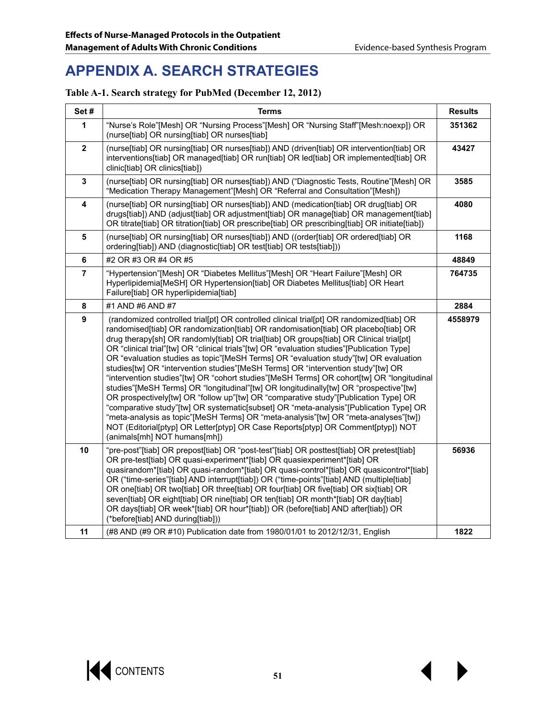# **APPENDIX A. SEARCH STRATEGIES**

### **Table A-1. Search strategy for PubMed (December 12, 2012)**

| Set#                    | <b>Terms</b>                                                                                                                                                                                                                                                                                                                                                                                                                                                                                                                                                                                                                                                                                                                                                                                                                                                                                                                                                                                                                                                                                                                         |         |
|-------------------------|--------------------------------------------------------------------------------------------------------------------------------------------------------------------------------------------------------------------------------------------------------------------------------------------------------------------------------------------------------------------------------------------------------------------------------------------------------------------------------------------------------------------------------------------------------------------------------------------------------------------------------------------------------------------------------------------------------------------------------------------------------------------------------------------------------------------------------------------------------------------------------------------------------------------------------------------------------------------------------------------------------------------------------------------------------------------------------------------------------------------------------------|---------|
| 1                       | "Nurse's Role"[Mesh] OR "Nursing Process"[Mesh] OR "Nursing Staff"[Mesh:noexp]) OR<br>(nurse[tiab] OR nursing[tiab] OR nurses[tiab]                                                                                                                                                                                                                                                                                                                                                                                                                                                                                                                                                                                                                                                                                                                                                                                                                                                                                                                                                                                                  | 351362  |
| $\overline{\mathbf{2}}$ | (nurse[tiab] OR nursing[tiab] OR nurses[tiab]) AND (driven[tiab] OR intervention[tiab] OR<br>interventions[tiab] OR managed[tiab] OR run[tiab] OR led[tiab] OR implemented[tiab] OR<br>clinic[tiab] OR clinics[tiab])                                                                                                                                                                                                                                                                                                                                                                                                                                                                                                                                                                                                                                                                                                                                                                                                                                                                                                                | 43427   |
| $\mathbf 3$             | (nurse[tiab] OR nursing[tiab] OR nurses[tiab]) AND ("Diagnostic Tests, Routine"[Mesh] OR<br>"Medication Therapy Management"[Mesh] OR "Referral and Consultation"[Mesh])                                                                                                                                                                                                                                                                                                                                                                                                                                                                                                                                                                                                                                                                                                                                                                                                                                                                                                                                                              | 3585    |
| $\overline{\mathbf{4}}$ | (nurse[tiab] OR nursing[tiab] OR nurses[tiab]) AND (medication[tiab] OR drug[tiab] OR<br>drugs[tiab]) AND (adjust[tiab] OR adjustment[tiab] OR manage[tiab] OR management[tiab]<br>OR titrate[tiab] OR titration[tiab] OR prescribe[tiab] OR prescribing[tiab] OR initiate[tiab])                                                                                                                                                                                                                                                                                                                                                                                                                                                                                                                                                                                                                                                                                                                                                                                                                                                    | 4080    |
| $\overline{\mathbf{5}}$ | (nurse[tiab] OR nursing[tiab] OR nurses[tiab]) AND ((order[tiab] OR ordered[tiab] OR<br>ordering[tiab]) AND (diagnostic[tiab] OR test[tiab] OR tests[tiab]))                                                                                                                                                                                                                                                                                                                                                                                                                                                                                                                                                                                                                                                                                                                                                                                                                                                                                                                                                                         | 1168    |
| $\bf 6$                 | #2 OR #3 OR #4 OR #5                                                                                                                                                                                                                                                                                                                                                                                                                                                                                                                                                                                                                                                                                                                                                                                                                                                                                                                                                                                                                                                                                                                 | 48849   |
| $\overline{7}$          | "Hypertension"[Mesh] OR "Diabetes Mellitus"[Mesh] OR "Heart Failure"[Mesh] OR<br>Hyperlipidemia[MeSH] OR Hypertension[tiab] OR Diabetes Mellitus[tiab] OR Heart<br>Failure[tiab] OR hyperlipidemia[tiab]                                                                                                                                                                                                                                                                                                                                                                                                                                                                                                                                                                                                                                                                                                                                                                                                                                                                                                                             | 764735  |
| 8                       | #1 AND #6 AND #7                                                                                                                                                                                                                                                                                                                                                                                                                                                                                                                                                                                                                                                                                                                                                                                                                                                                                                                                                                                                                                                                                                                     | 2884    |
| $\mathbf{9}$            | (randomized controlled trial[pt] OR controlled clinical trial[pt] OR randomized[tiab] OR<br>randomised[tiab] OR randomization[tiab] OR randomisation[tiab] OR placebo[tiab] OR<br>drug therapy[sh] OR randomly[tiab] OR trial[tiab] OR groups[tiab] OR Clinical trial[pt]<br>OR "clinical trial"[tw] OR "clinical trials"[tw] OR "evaluation studies"[Publication Type]<br>OR "evaluation studies as topic"[MeSH Terms] OR "evaluation study"[tw] OR evaluation<br>studies[tw] OR "intervention studies"[MeSH Terms] OR "intervention study"[tw] OR<br>"intervention studies"[tw] OR "cohort studies"[MeSH Terms] OR cohort[tw] OR "longitudinal<br>studies"[MeSH Terms] OR "longitudinal"[tw] OR longitudinally[tw] OR "prospective"[tw]<br>OR prospectively[tw] OR "follow up"[tw] OR "comparative study"[Publication Type] OR<br>"comparative study"[tw] OR systematic[subset] OR "meta-analysis"[Publication Type] OR<br>"meta-analysis as topic"[MeSH Terms] OR "meta-analysis"[tw] OR "meta-analyses"[tw])<br>NOT (Editorial[ptyp] OR Letter[ptyp] OR Case Reports[ptyp] OR Comment[ptyp]) NOT<br>(animals[mh] NOT humans[mh]) | 4558979 |
| 10                      | "pre-post"[tiab] OR prepost[tiab] OR "post-test"[tiab] OR posttest[tiab] OR pretest[tiab]<br>OR pre-test[tiab] OR quasi-experiment*[tiab] OR quasiexperiment*[tiab] OR<br>quasirandom*[tiab] OR quasi-random*[tiab] OR quasi-control*[tiab] OR quasicontrol*[tiab]<br>OR ("time-series"[tiab] AND interrupt[tiab]) OR ("time-points"[tiab] AND (multiple[tiab]<br>OR one[tiab] OR two[tiab] OR three[tiab] OR four[tiab] OR five[tiab] OR six[tiab] OR<br>seven[tiab] OR eight[tiab] OR nine[tiab] OR ten[tiab] OR month*[tiab] OR day[tiab]<br>OR days[tiab] OR week*[tiab] OR hour*[tiab]) OR (before[tiab] AND after[tiab]) OR<br>(*before[tiab] AND during[tiab]))                                                                                                                                                                                                                                                                                                                                                                                                                                                               | 56936   |
| 11                      | (#8 AND (#9 OR #10) Publication date from 1980/01/01 to 2012/12/31, English                                                                                                                                                                                                                                                                                                                                                                                                                                                                                                                                                                                                                                                                                                                                                                                                                                                                                                                                                                                                                                                          | 1822    |

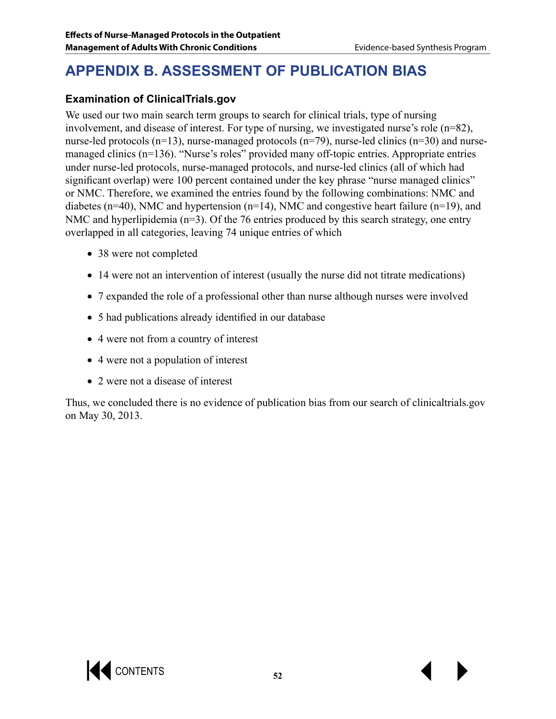# **APPENDIX B. ASSESSMENT OF PUBLICATION BIAS**

# **Examination of ClinicalTrials.gov**

We used our two main search term groups to search for clinical trials, type of nursing involvement, and disease of interest. For type of nursing, we investigated nurse's role (n=82), nurse-led protocols (n=13), nurse-managed protocols (n=79), nurse-led clinics (n=30) and nursemanaged clinics (n=136). "Nurse's roles" provided many off-topic entries. Appropriate entries under nurse-led protocols, nurse-managed protocols, and nurse-led clinics (all of which had significant overlap) were 100 percent contained under the key phrase "nurse managed clinics" or NMC. Therefore, we examined the entries found by the following combinations: NMC and diabetes (n=40), NMC and hypertension (n=14), NMC and congestive heart failure (n=19), and NMC and hyperlipidemia (n=3). Of the 76 entries produced by this search strategy, one entry overlapped in all categories, leaving 74 unique entries of which

- 38 were not completed
- 14 were not an intervention of interest (usually the nurse did not titrate medications)
- 7 expanded the role of a professional other than nurse although nurses were involved
- 5 had publications already identified in our database
- 4 were not from a country of interest
- 4 were not a population of interest
- 2 were not a disease of interest

Thus, we concluded there is no evidence of publication bias from our search of clinicaltrials.gov on May 30, 2013.

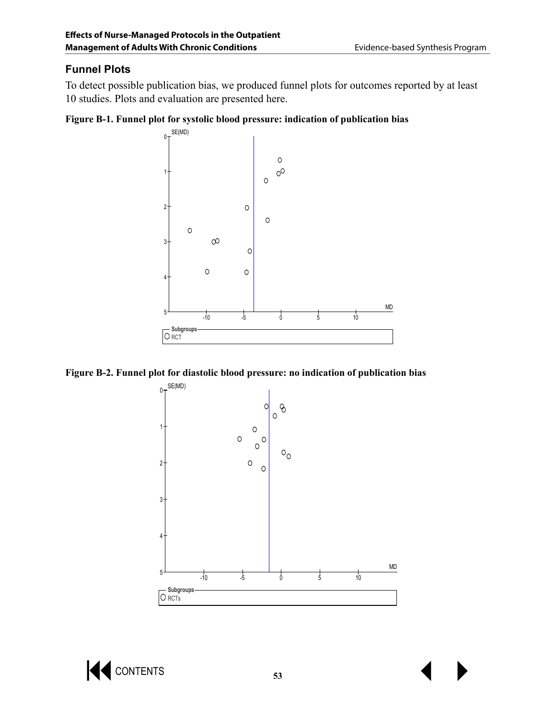## **Funnel Plots**

To detect possible publication bias, we produced funnel plots for outcomes reported by at least 10 studies. Plots and evaluation are presented here.

#### **Figure B-1. Funnel plot for systolic blood pressure: indication of publication bias**







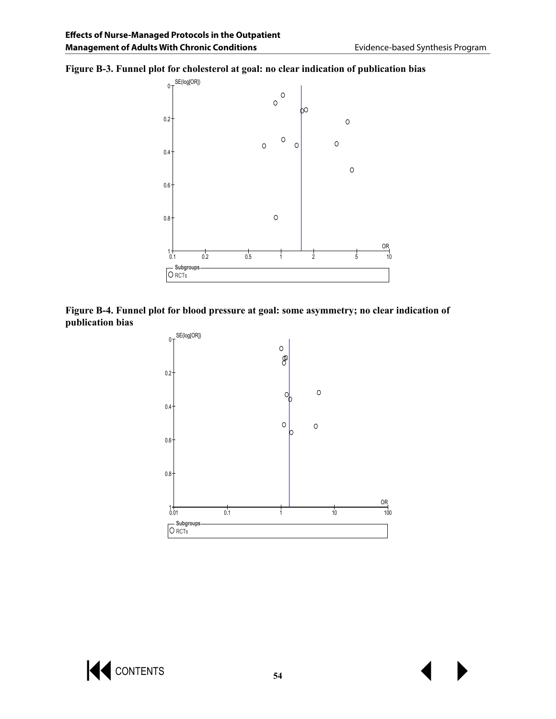#### **Figure B-3. Funnel plot for cholesterol at goal: no clear indication of publication bias**



#### **Figure B-4. Funnel plot for blood pressure at goal: some asymmetry; no clear indication of publication bias**



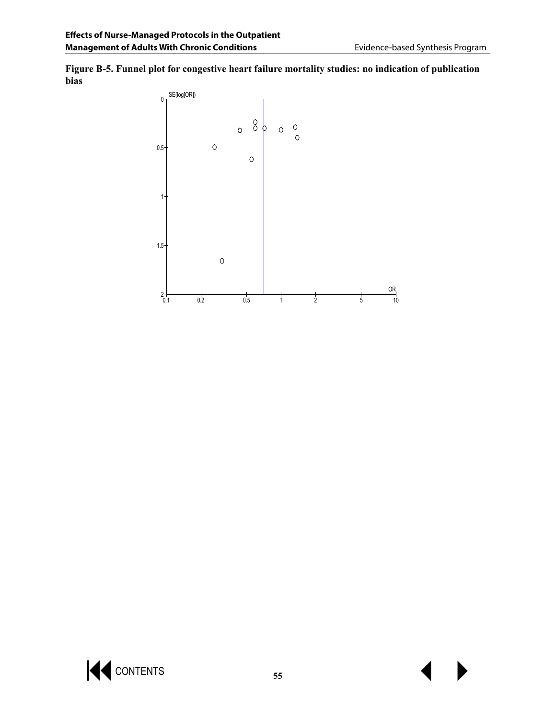**Figure B-5. Funnel plot for congestive heart failure mortality studies: no indication of publication bias**



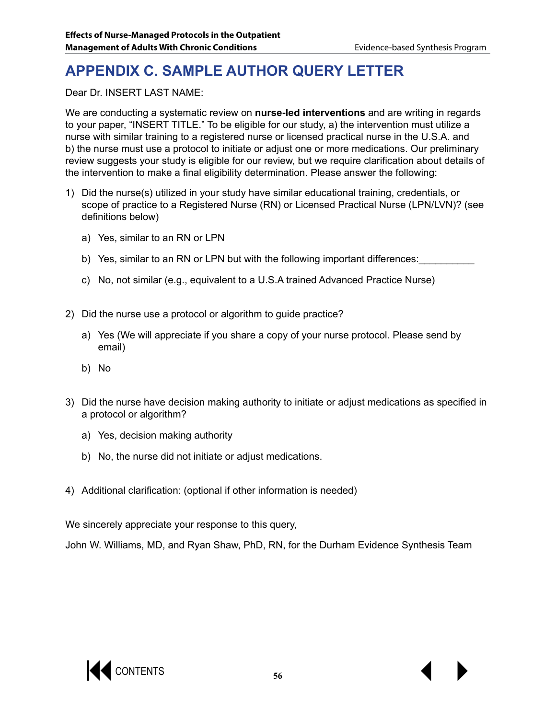# **APPENDIX C. SAMPLE AUTHOR QUERY LETTER**

Dear Dr. INSERT LAST NAME:

We are conducting a systematic review on **nurse-led interventions** and are writing in regards to your paper, "INSERT TITLE." To be eligible for our study, a) the intervention must utilize a nurse with similar training to a registered nurse or licensed practical nurse in the U.S.A. and b) the nurse must use a protocol to initiate or adjust one or more medications. Our preliminary review suggests your study is eligible for our review, but we require clarification about details of the intervention to make a final eligibility determination. Please answer the following:

- 1) Did the nurse(s) utilized in your study have similar educational training, credentials, or scope of practice to a Registered Nurse (RN) or Licensed Practical Nurse (LPN/LVN)? (see definitions below)
	- a) Yes, similar to an RN or LPN
	- b) Yes, similar to an RN or LPN but with the following important differences:
	- c) No, not similar (e.g., equivalent to a U.S.A trained Advanced Practice Nurse)
- 2) Did the nurse use a protocol or algorithm to guide practice?
	- a) Yes (We will appreciate if you share a copy of your nurse protocol. Please send by email)
	- b) No
- 3) Did the nurse have decision making authority to initiate or adjust medications as specified in a protocol or algorithm?
	- a) Yes, decision making authority
	- b) No, the nurse did not initiate or adjust medications.
- 4) Additional clarification: (optional if other information is needed)

We sincerely appreciate your response to this query,

John W. Williams, MD, and Ryan Shaw, PhD, RN, for the Durham Evidence Synthesis Team

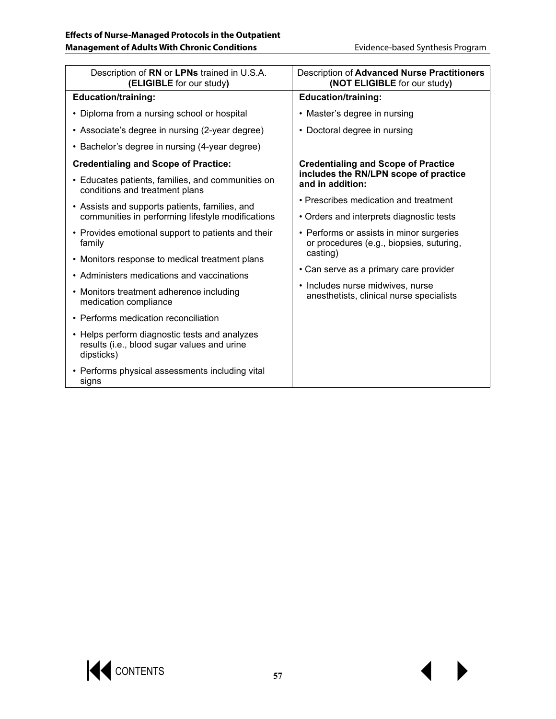| Description of RN or LPNs trained in U.S.A.<br>(ELIGIBLE for our study)                                    | Description of Advanced Nurse Practitioners<br>(NOT ELIGIBLE for our study)          |
|------------------------------------------------------------------------------------------------------------|--------------------------------------------------------------------------------------|
| <b>Education/training:</b>                                                                                 | <b>Education/training:</b>                                                           |
| • Diploma from a nursing school or hospital                                                                | • Master's degree in nursing                                                         |
| • Associate's degree in nursing (2-year degree)                                                            | • Doctoral degree in nursing                                                         |
| • Bachelor's degree in nursing (4-year degree)                                                             |                                                                                      |
| <b>Credentialing and Scope of Practice:</b>                                                                | <b>Credentialing and Scope of Practice</b>                                           |
| • Educates patients, families, and communities on<br>conditions and treatment plans                        | includes the RN/LPN scope of practice<br>and in addition:                            |
| • Assists and supports patients, families, and                                                             | • Prescribes medication and treatment                                                |
| communities in performing lifestyle modifications                                                          | • Orders and interprets diagnostic tests                                             |
| • Provides emotional support to patients and their<br>family                                               | • Performs or assists in minor surgeries<br>or procedures (e.g., biopsies, suturing, |
| • Monitors response to medical treatment plans                                                             | casting)                                                                             |
| • Administers medications and vaccinations                                                                 | • Can serve as a primary care provider                                               |
| • Monitors treatment adherence including<br>medication compliance                                          | • Includes nurse midwives, nurse<br>anesthetists, clinical nurse specialists         |
| • Performs medication reconciliation                                                                       |                                                                                      |
| • Helps perform diagnostic tests and analyzes<br>results (i.e., blood sugar values and urine<br>dipsticks) |                                                                                      |
| • Performs physical assessments including vital<br>signs                                                   |                                                                                      |

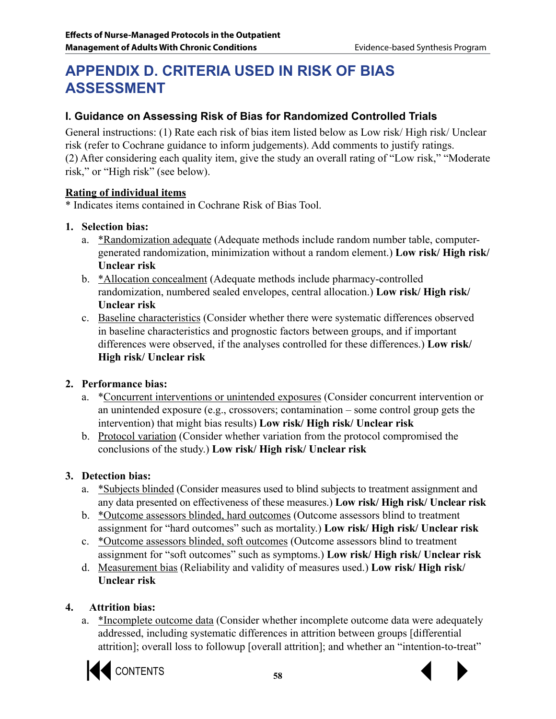# **APPENDIX D. CRITERIA USED IN RISK OF BIAS ASSESSMENT**

# **I. Guidance on Assessing Risk of Bias for Randomized Controlled Trials**

General instructions: (1) Rate each risk of bias item listed below as Low risk/ High risk/ Unclear risk (refer to Cochrane guidance to inform judgements). Add comments to justify ratings. (2) After considering each quality item, give the study an overall rating of "Low risk," "Moderate risk," or "High risk" (see below).

## **Rating of individual items**

\* Indicates items contained in Cochrane Risk of Bias Tool.

## **1. Selection bias:**

- a. \*Randomization adequate (Adequate methods include random number table, computergenerated randomization, minimization without a random element.) **Low risk/ High risk/ Unclear risk**
- b. \*Allocation concealment (Adequate methods include pharmacy-controlled randomization, numbered sealed envelopes, central allocation.) **Low risk/ High risk/ Unclear risk**
- c. Baseline characteristics (Consider whether there were systematic differences observed in baseline characteristics and prognostic factors between groups, and if important differences were observed, if the analyses controlled for these differences.) **Low risk/ High risk/ Unclear risk**

# **2. Performance bias:**

- a. \*Concurrent interventions or unintended exposures (Consider concurrent intervention or an unintended exposure (e.g., crossovers; contamination – some control group gets the intervention) that might bias results) **Low risk/ High risk/ Unclear risk**
- b. Protocol variation (Consider whether variation from the protocol compromised the conclusions of the study.) **Low risk/ High risk/ Unclear risk**

# **3. Detection bias:**

- a. \*Subjects blinded (Consider measures used to blind subjects to treatment assignment and any data presented on effectiveness of these measures.) **Low risk/ High risk/ Unclear risk**
- b. \*Outcome assessors blinded, hard outcomes (Outcome assessors blind to treatment assignment for "hard outcomes" such as mortality.) **Low risk/ High risk/ Unclear risk**
- c. \*Outcome assessors blinded, soft outcomes (Outcome assessors blind to treatment assignment for "soft outcomes" such as symptoms.) **Low risk/ High risk/ Unclear risk**
- d. Measurement bias (Reliability and validity of measures used.) **Low risk/ High risk/ Unclear risk**

# **4. Attrition bias:**

a. \*Incomplete outcome data (Consider whether incomplete outcome data were adequately addressed, including systematic differences in attrition between groups [differential attrition]; overall loss to followup [overall attrition]; and whether an "intention-to-treat"

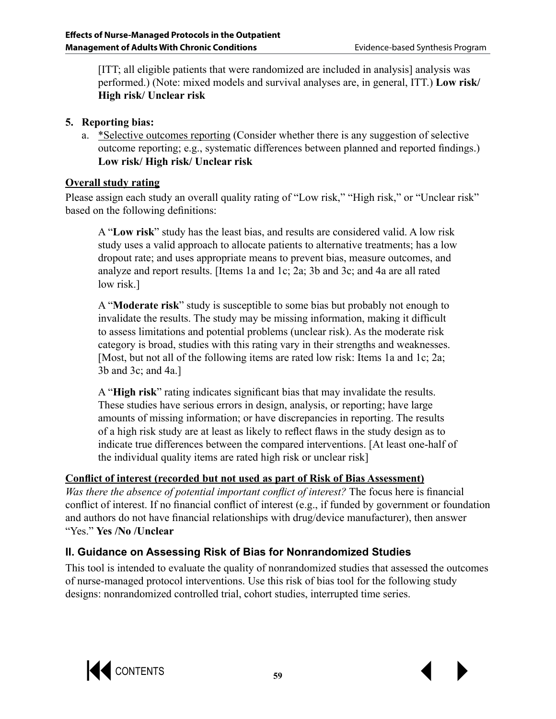[ITT; all eligible patients that were randomized are included in analysis] analysis was performed.) (Note: mixed models and survival analyses are, in general, ITT.) **Low risk/ High risk/ Unclear risk**

## **5. Reporting bias:**

a. \*Selective outcomes reporting (Consider whether there is any suggestion of selective outcome reporting; e.g., systematic differences between planned and reported findings.) **Low risk/ High risk/ Unclear risk**

## **Overall study rating**

Please assign each study an overall quality rating of "Low risk," "High risk," or "Unclear risk" based on the following definitions:

A "**Low risk**" study has the least bias, and results are considered valid. A low risk study uses a valid approach to allocate patients to alternative treatments; has a low dropout rate; and uses appropriate means to prevent bias, measure outcomes, and analyze and report results. [Items 1a and 1c; 2a; 3b and 3c; and 4a are all rated low risk.]

A "**Moderate risk**" study is susceptible to some bias but probably not enough to invalidate the results. The study may be missing information, making it difficult to assess limitations and potential problems (unclear risk). As the moderate risk category is broad, studies with this rating vary in their strengths and weaknesses. [Most, but not all of the following items are rated low risk: Items 1a and 1c; 2a; 3b and 3c; and 4a.]

A "**High risk**" rating indicates significant bias that may invalidate the results. These studies have serious errors in design, analysis, or reporting; have large amounts of missing information; or have discrepancies in reporting. The results of a high risk study are at least as likely to reflect flaws in the study design as to indicate true differences between the compared interventions. [At least one-half of the individual quality items are rated high risk or unclear risk]

# **Conflict of interest (recorded but not used as part of Risk of Bias Assessment)**

*Was there the absence of potential important conflict of interest?* The focus here is financial conflict of interest. If no financial conflict of interest (e.g., if funded by government or foundation and authors do not have financial relationships with drug/device manufacturer), then answer "Yes." **Yes /No /Unclear**

# **II. Guidance on Assessing Risk of Bias for Nonrandomized Studies**

This tool is intended to evaluate the quality of nonrandomized studies that assessed the outcomes of nurse-managed protocol interventions. Use this risk of bias tool for the following study designs: nonrandomized controlled trial, cohort studies, interrupted time series.



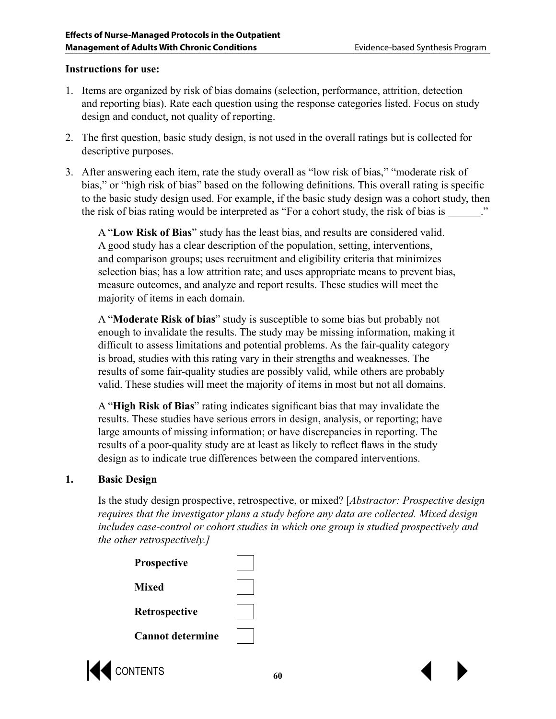#### **Instructions for use:**

- 1. Items are organized by risk of bias domains (selection, performance, attrition, detection and reporting bias). Rate each question using the response categories listed. Focus on study design and conduct, not quality of reporting.
- 2. The first question, basic study design, is not used in the overall ratings but is collected for descriptive purposes.
- 3. After answering each item, rate the study overall as "low risk of bias," "moderate risk of bias," or "high risk of bias" based on the following definitions. This overall rating is specific to the basic study design used. For example, if the basic study design was a cohort study, then the risk of bias rating would be interpreted as "For a cohort study, the risk of bias is  $\cdots$

A "**Low Risk of Bias**" study has the least bias, and results are considered valid. A good study has a clear description of the population, setting, interventions, and comparison groups; uses recruitment and eligibility criteria that minimizes selection bias; has a low attrition rate; and uses appropriate means to prevent bias, measure outcomes, and analyze and report results. These studies will meet the majority of items in each domain.

A "**Moderate Risk of bias**" study is susceptible to some bias but probably not enough to invalidate the results. The study may be missing information, making it difficult to assess limitations and potential problems. As the fair-quality category is broad, studies with this rating vary in their strengths and weaknesses. The results of some fair-quality studies are possibly valid, while others are probably valid. These studies will meet the majority of items in most but not all domains.

A "**High Risk of Bias**" rating indicates significant bias that may invalidate the results. These studies have serious errors in design, analysis, or reporting; have large amounts of missing information; or have discrepancies in reporting. The results of a poor-quality study are at least as likely to reflect flaws in the study design as to indicate true differences between the compared interventions.

#### **1. Basic Design**

Is the study design prospective, retrospective, or mixed? [*Abstractor: Prospective design requires that the investigator plans a study before any data are collected. Mixed design includes case-control or cohort studies in which one group is studied prospectively and the other retrospectively.]*

| <b>Prospective</b>      |  |
|-------------------------|--|
| Mixed                   |  |
| Retrospective           |  |
| <b>Cannot determine</b> |  |

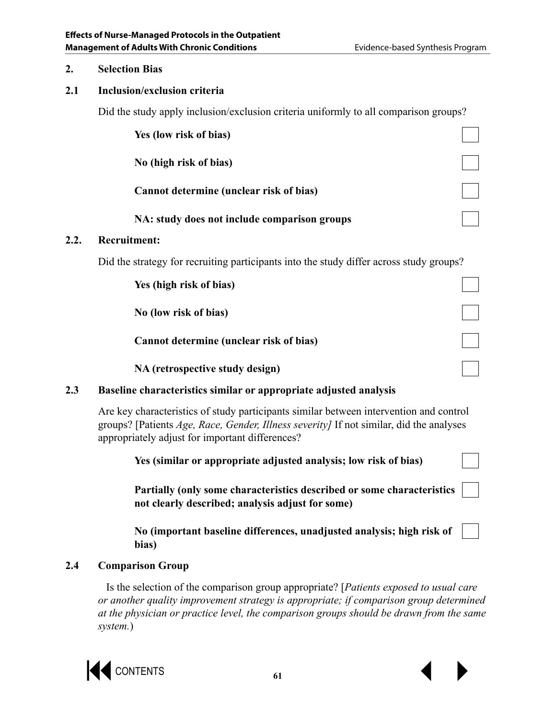#### **2. Selection Bias**

**2.2. Recruitment:** 

### **2.1 Inclusion/exclusion criteria**

Did the study apply inclusion/exclusion criteria uniformly to all comparison groups?

|      | Yes (low risk of bias)                                                                                                                                                                                                               |
|------|--------------------------------------------------------------------------------------------------------------------------------------------------------------------------------------------------------------------------------------|
|      | No (high risk of bias)                                                                                                                                                                                                               |
|      | Cannot determine (unclear risk of bias)                                                                                                                                                                                              |
|      | NA: study does not include comparison groups                                                                                                                                                                                         |
| 2.2. | <b>Recruitment:</b>                                                                                                                                                                                                                  |
|      | Did the strategy for recruiting participants into the study differ across study groups?                                                                                                                                              |
|      | Yes (high risk of bias)                                                                                                                                                                                                              |
|      | No (low risk of bias)                                                                                                                                                                                                                |
|      | Cannot determine (unclear risk of bias)                                                                                                                                                                                              |
|      | NA (retrospective study design)                                                                                                                                                                                                      |
| 2.3  | Baseline characteristics similar or appropriate adjusted analysis                                                                                                                                                                    |
|      | Are key characteristics of study participants similar between intervention and control<br>groups? [Patients Age, Race, Gender, Illness severity] If not similar, did the analyses<br>appropriately adjust for important differences? |
|      | Yes (similar or appropriate adjusted analysis; low risk of bias)                                                                                                                                                                     |
|      | Partially (only some characteristics described or some characteristics<br>not clearly described; analysis adjust for some)                                                                                                           |
|      | No (important baseline differences, unadjusted analysis; high risk of<br>bias)                                                                                                                                                       |

## **2.4 Comparison Group**

 Is the selection of the comparison group appropriate? [*Patients exposed to usual care or another quality improvement strategy is appropriate; if comparison group determined at the physician or practice level, the comparison groups should be drawn from the same system.*)

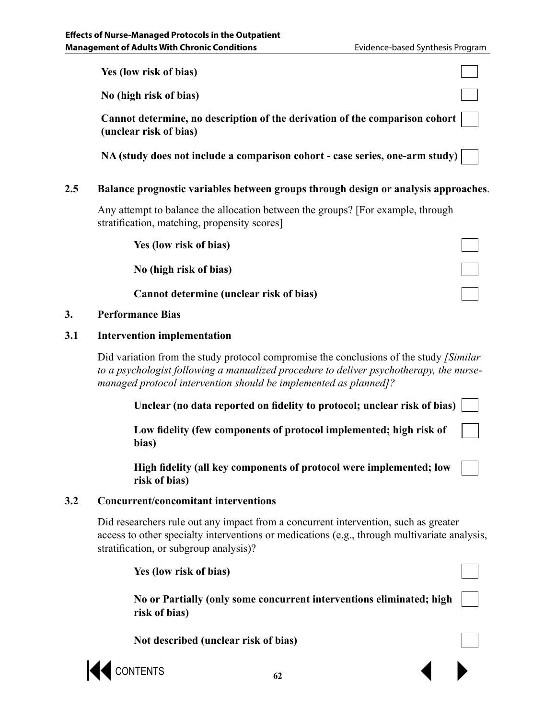**Yes (low risk of bias)**

**No (high risk of bias)**

**Cannot determine, no description of the derivation of the comparison cohort (unclear risk of bias)**

**NA (study does not include a comparison cohort - case series, one-arm study)**

### **2.5 Balance prognostic variables between groups through design or analysis approaches**.

Any attempt to balance the allocation between the groups? [For example, through stratification, matching, propensity scores]

| Yes (low risk of bias)                  |  |
|-----------------------------------------|--|
| No (high risk of bias)                  |  |
| Cannot determine (unclear risk of bias) |  |

#### **3. Performance Bias**

#### **3.1 Intervention implementation**

Did variation from the study protocol compromise the conclusions of the study *[Similar to a psychologist following a manualized procedure to deliver psychotherapy, the nursemanaged protocol intervention should be implemented as planned]?*

**Unclear (no data reported on fidelity to protocol; unclear risk of bias)**

**Low fidelity (few components of protocol implemented; high risk of bias)**

**High fidelity (all key components of protocol were implemented; low risk of bias)**

#### **3.2 Concurrent/concomitant interventions**

Did researchers rule out any impact from a concurrent intervention, such as greater access to other specialty interventions or medications (e.g., through multivariate analysis, stratification, or subgroup analysis)?

 $\bigotimes$  contents  $\bigotimes$ **Yes (low risk of bias) No or Partially (only some concurrent interventions eliminated; high risk of bias) Not described (unclear risk of bias)**

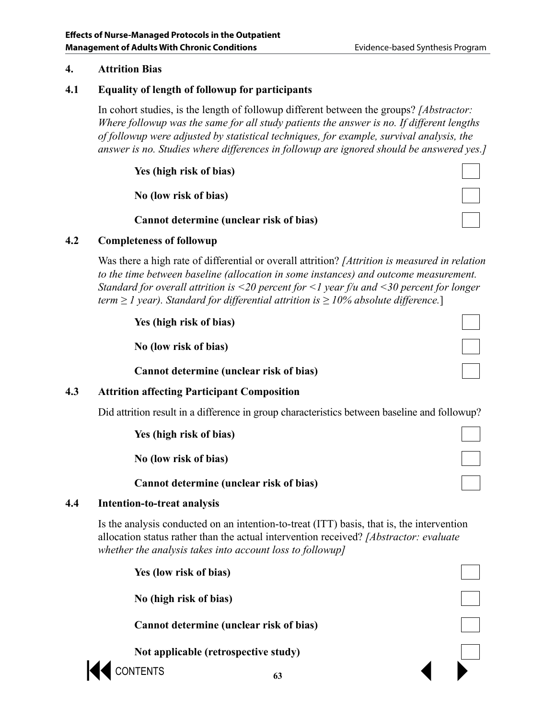#### **4. Attrition Bias**

#### **4.1 Equality of length of followup for participants**

In cohort studies, is the length of followup different between the groups? *[Abstractor: Where followup was the same for all study patients the answer is no. If different lengths of followup were adjusted by statistical techniques, for example, survival analysis, the answer is no. Studies where differences in followup are ignored should be answered yes.]*

### **Yes (high risk of bias)**

**No (low risk of bias)**

**Cannot determine (unclear risk of bias)**

#### **4.2 Completeness of followup**

Was there a high rate of differential or overall attrition? *[Attrition is measured in relation to the time between baseline (allocation in some instances) and outcome measurement. Standard for overall attrition is <20 percent for <1 year f/u and <30 percent for longer term ≥ 1 year). Standard for differential attrition is ≥ 10% absolute difference.*]

**Yes (high risk of bias)**

**No (low risk of bias)**

**Cannot determine (unclear risk of bias)**

#### **4.3 Attrition affecting Participant Composition**

Did attrition result in a difference in group characteristics between baseline and followup?

**Yes (high risk of bias)**

**No (low risk of bias)**

**Cannot determine (unclear risk of bias)**

#### **4.4 Intention-to-treat analysis**

Is the analysis conducted on an intention-to-treat (ITT) basis, that is, the intervention allocation status rather than the actual intervention received? *[Abstractor: evaluate whether the analysis takes into account loss to followup]*

**Yes (low risk of bias)**

**No (high risk of bias)**

**Cannot determine (unclear risk of bias)**

**Not applicable (retrospective study)**

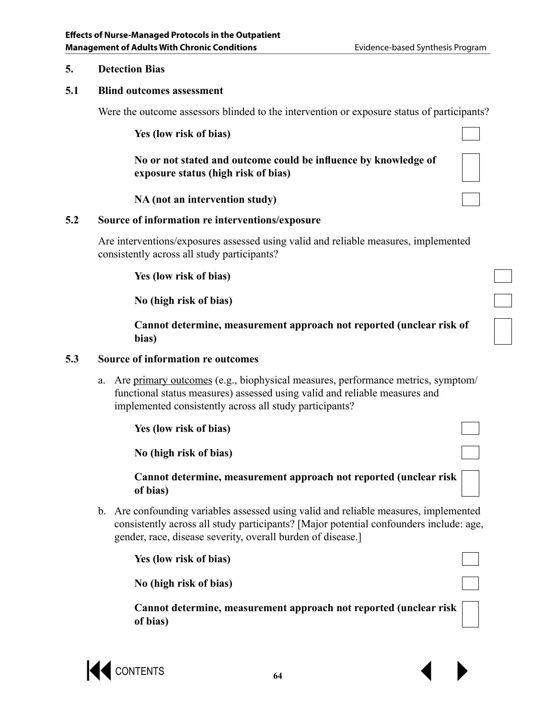#### **5. Detection Bias**

#### **5.1 Blind outcomes assessment**

Were the outcome assessors blinded to the intervention or exposure status of participants?

**Yes (low risk of bias)**

**No or not stated and outcome could be influence by knowledge of exposure status (high risk of bias)**

**NA (not an intervention study)**

#### **5.2 Source of information re interventions/exposure**

Are interventions/exposures assessed using valid and reliable measures, implemented consistently across all study participants?

**Yes (low risk of bias)**

**No (high risk of bias)**

**Cannot determine, measurement approach not reported (unclear risk of bias)**

#### **5.3 Source of information re outcomes**

a. Are primary outcomes (e.g., biophysical measures, performance metrics, symptom/ functional status measures) assessed using valid and reliable measures and implemented consistently across all study participants?

**Yes (low risk of bias)**

**No (high risk of bias)**

**Cannot determine, measurement approach not reported (unclear risk of bias)**

b. Are confounding variables assessed using valid and reliable measures, implemented consistently across all study participants? [Major potential confounders include: age, gender, race, disease severity, overall burden of disease.]

**Yes (low risk of bias)**

**No (high risk of bias)**

**Cannot determine, measurement approach not reported (unclear risk of bias)**

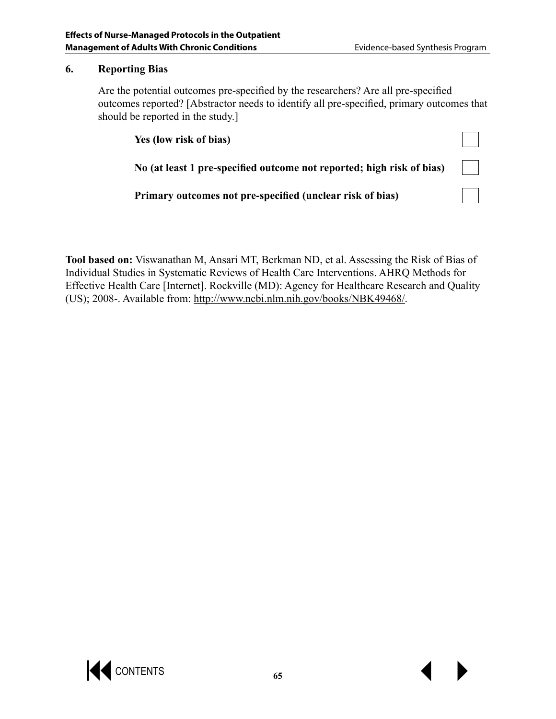#### **6. Reporting Bias**

Are the potential outcomes pre-specified by the researchers? Are all pre-specified outcomes reported? [Abstractor needs to identify all pre-specified, primary outcomes that should be reported in the study.]

| Yes (low risk of bias)                                                |  |
|-----------------------------------------------------------------------|--|
| No (at least 1 pre-specified outcome not reported; high risk of bias) |  |
| Primary outcomes not pre-specified (unclear risk of bias)             |  |

**Tool based on:** Viswanathan M, Ansari MT, Berkman ND, et al. Assessing the Risk of Bias of Individual Studies in Systematic Reviews of Health Care Interventions. AHRQ Methods for Effective Health Care [Internet]. Rockville (MD): Agency for Healthcare Research and Quality (US); 2008-. Available from: http://www.ncbi.nlm.nih.gov/books/NBK49468/.

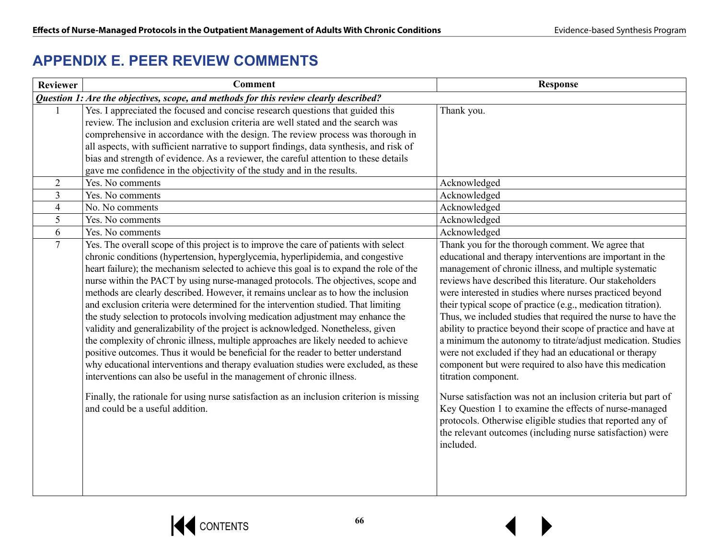# **APPENDIX E. PEER REVIEW COMMENTS**

| <b>Reviewer</b> | <b>Comment</b>                                                                                                                                                                                                                                                                                                                                                                                                                                                                                                                                                                                                                                                                                                                                                                                                                                                                                                                                                                                                                                               | <b>Response</b>                                                                                                                                                                                                                                                                                                                                                                                                                                                                                                                                                                                                                                                                                                      |
|-----------------|--------------------------------------------------------------------------------------------------------------------------------------------------------------------------------------------------------------------------------------------------------------------------------------------------------------------------------------------------------------------------------------------------------------------------------------------------------------------------------------------------------------------------------------------------------------------------------------------------------------------------------------------------------------------------------------------------------------------------------------------------------------------------------------------------------------------------------------------------------------------------------------------------------------------------------------------------------------------------------------------------------------------------------------------------------------|----------------------------------------------------------------------------------------------------------------------------------------------------------------------------------------------------------------------------------------------------------------------------------------------------------------------------------------------------------------------------------------------------------------------------------------------------------------------------------------------------------------------------------------------------------------------------------------------------------------------------------------------------------------------------------------------------------------------|
|                 | Question 1: Are the objectives, scope, and methods for this review clearly described?                                                                                                                                                                                                                                                                                                                                                                                                                                                                                                                                                                                                                                                                                                                                                                                                                                                                                                                                                                        |                                                                                                                                                                                                                                                                                                                                                                                                                                                                                                                                                                                                                                                                                                                      |
|                 | Yes. I appreciated the focused and concise research questions that guided this<br>review. The inclusion and exclusion criteria are well stated and the search was<br>comprehensive in accordance with the design. The review process was thorough in<br>all aspects, with sufficient narrative to support findings, data synthesis, and risk of<br>bias and strength of evidence. As a reviewer, the careful attention to these details<br>gave me confidence in the objectivity of the study and in the results.                                                                                                                                                                                                                                                                                                                                                                                                                                                                                                                                            | Thank you.                                                                                                                                                                                                                                                                                                                                                                                                                                                                                                                                                                                                                                                                                                           |
| $\overline{2}$  | Yes. No comments                                                                                                                                                                                                                                                                                                                                                                                                                                                                                                                                                                                                                                                                                                                                                                                                                                                                                                                                                                                                                                             | Acknowledged                                                                                                                                                                                                                                                                                                                                                                                                                                                                                                                                                                                                                                                                                                         |
| $\overline{3}$  | Yes. No comments                                                                                                                                                                                                                                                                                                                                                                                                                                                                                                                                                                                                                                                                                                                                                                                                                                                                                                                                                                                                                                             | Acknowledged                                                                                                                                                                                                                                                                                                                                                                                                                                                                                                                                                                                                                                                                                                         |
| $\overline{4}$  | No. No comments                                                                                                                                                                                                                                                                                                                                                                                                                                                                                                                                                                                                                                                                                                                                                                                                                                                                                                                                                                                                                                              | Acknowledged                                                                                                                                                                                                                                                                                                                                                                                                                                                                                                                                                                                                                                                                                                         |
| 5               | Yes. No comments                                                                                                                                                                                                                                                                                                                                                                                                                                                                                                                                                                                                                                                                                                                                                                                                                                                                                                                                                                                                                                             | Acknowledged                                                                                                                                                                                                                                                                                                                                                                                                                                                                                                                                                                                                                                                                                                         |
| 6               | Yes. No comments                                                                                                                                                                                                                                                                                                                                                                                                                                                                                                                                                                                                                                                                                                                                                                                                                                                                                                                                                                                                                                             | Acknowledged                                                                                                                                                                                                                                                                                                                                                                                                                                                                                                                                                                                                                                                                                                         |
| $\overline{7}$  | Yes. The overall scope of this project is to improve the care of patients with select<br>chronic conditions (hypertension, hyperglycemia, hyperlipidemia, and congestive<br>heart failure); the mechanism selected to achieve this goal is to expand the role of the<br>nurse within the PACT by using nurse-managed protocols. The objectives, scope and<br>methods are clearly described. However, it remains unclear as to how the inclusion<br>and exclusion criteria were determined for the intervention studied. That limiting<br>the study selection to protocols involving medication adjustment may enhance the<br>validity and generalizability of the project is acknowledged. Nonetheless, given<br>the complexity of chronic illness, multiple approaches are likely needed to achieve<br>positive outcomes. Thus it would be beneficial for the reader to better understand<br>why educational interventions and therapy evaluation studies were excluded, as these<br>interventions can also be useful in the management of chronic illness. | Thank you for the thorough comment. We agree that<br>educational and therapy interventions are important in the<br>management of chronic illness, and multiple systematic<br>reviews have described this literature. Our stakeholders<br>were interested in studies where nurses practiced beyond<br>their typical scope of practice (e.g., medication titration).<br>Thus, we included studies that required the nurse to have the<br>ability to practice beyond their scope of practice and have at<br>a minimum the autonomy to titrate/adjust medication. Studies<br>were not excluded if they had an educational or therapy<br>component but were required to also have this medication<br>titration component. |
|                 | Finally, the rationale for using nurse satisfaction as an inclusion criterion is missing<br>and could be a useful addition.                                                                                                                                                                                                                                                                                                                                                                                                                                                                                                                                                                                                                                                                                                                                                                                                                                                                                                                                  | Nurse satisfaction was not an inclusion criteria but part of<br>Key Question 1 to examine the effects of nurse-managed<br>protocols. Otherwise eligible studies that reported any of<br>the relevant outcomes (including nurse satisfaction) were<br>included.                                                                                                                                                                                                                                                                                                                                                                                                                                                       |

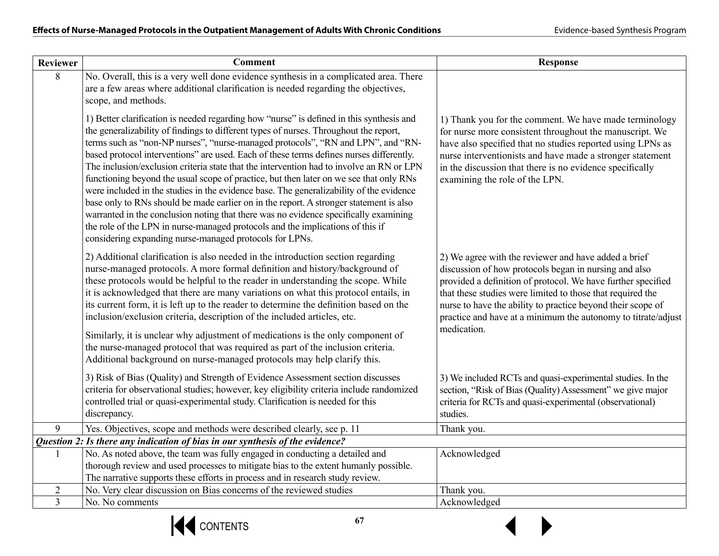| <b>Reviewer</b> | <b>Comment</b>                                                                                                                                                                                                                                                                                                                                                                                                                                                                                                                                                                                                                                                                                                                                                                                                                                                                                                                                                                   | <b>Response</b>                                                                                                                                                                                                                                                                                                                                                                            |
|-----------------|----------------------------------------------------------------------------------------------------------------------------------------------------------------------------------------------------------------------------------------------------------------------------------------------------------------------------------------------------------------------------------------------------------------------------------------------------------------------------------------------------------------------------------------------------------------------------------------------------------------------------------------------------------------------------------------------------------------------------------------------------------------------------------------------------------------------------------------------------------------------------------------------------------------------------------------------------------------------------------|--------------------------------------------------------------------------------------------------------------------------------------------------------------------------------------------------------------------------------------------------------------------------------------------------------------------------------------------------------------------------------------------|
| 8               | No. Overall, this is a very well done evidence synthesis in a complicated area. There<br>are a few areas where additional clarification is needed regarding the objectives,<br>scope, and methods.                                                                                                                                                                                                                                                                                                                                                                                                                                                                                                                                                                                                                                                                                                                                                                               |                                                                                                                                                                                                                                                                                                                                                                                            |
|                 | 1) Better clarification is needed regarding how "nurse" is defined in this synthesis and<br>the generalizability of findings to different types of nurses. Throughout the report,<br>terms such as "non-NP nurses", "nurse-managed protocols", "RN and LPN", and "RN-<br>based protocol interventions" are used. Each of these terms defines nurses differently.<br>The inclusion/exclusion criteria state that the intervention had to involve an RN or LPN<br>functioning beyond the usual scope of practice, but then later on we see that only RNs<br>were included in the studies in the evidence base. The generalizability of the evidence<br>base only to RNs should be made earlier on in the report. A stronger statement is also<br>warranted in the conclusion noting that there was no evidence specifically examining<br>the role of the LPN in nurse-managed protocols and the implications of this if<br>considering expanding nurse-managed protocols for LPNs. | 1) Thank you for the comment. We have made terminology<br>for nurse more consistent throughout the manuscript. We<br>have also specified that no studies reported using LPNs as<br>nurse interventionists and have made a stronger statement<br>in the discussion that there is no evidence specifically<br>examining the role of the LPN.                                                 |
|                 | 2) Additional clarification is also needed in the introduction section regarding<br>nurse-managed protocols. A more formal definition and history/background of<br>these protocols would be helpful to the reader in understanding the scope. While<br>it is acknowledged that there are many variations on what this protocol entails, in<br>its current form, it is left up to the reader to determine the definition based on the<br>inclusion/exclusion criteria, description of the included articles, etc.                                                                                                                                                                                                                                                                                                                                                                                                                                                                 | 2) We agree with the reviewer and have added a brief<br>discussion of how protocols began in nursing and also<br>provided a definition of protocol. We have further specified<br>that these studies were limited to those that required the<br>nurse to have the ability to practice beyond their scope of<br>practice and have at a minimum the autonomy to titrate/adjust<br>medication. |
|                 | Similarly, it is unclear why adjustment of medications is the only component of<br>the nurse-managed protocol that was required as part of the inclusion criteria.<br>Additional background on nurse-managed protocols may help clarify this.                                                                                                                                                                                                                                                                                                                                                                                                                                                                                                                                                                                                                                                                                                                                    |                                                                                                                                                                                                                                                                                                                                                                                            |
|                 | 3) Risk of Bias (Quality) and Strength of Evidence Assessment section discusses<br>criteria for observational studies; however, key eligibility criteria include randomized<br>controlled trial or quasi-experimental study. Clarification is needed for this<br>discrepancy.                                                                                                                                                                                                                                                                                                                                                                                                                                                                                                                                                                                                                                                                                                    | 3) We included RCTs and quasi-experimental studies. In the<br>section, "Risk of Bias (Quality) Assessment" we give major<br>criteria for RCTs and quasi-experimental (observational)<br>studies.                                                                                                                                                                                           |
| 9               | Yes. Objectives, scope and methods were described clearly, see p. 11                                                                                                                                                                                                                                                                                                                                                                                                                                                                                                                                                                                                                                                                                                                                                                                                                                                                                                             | Thank you.                                                                                                                                                                                                                                                                                                                                                                                 |
|                 | Question 2: Is there any indication of bias in our synthesis of the evidence?                                                                                                                                                                                                                                                                                                                                                                                                                                                                                                                                                                                                                                                                                                                                                                                                                                                                                                    |                                                                                                                                                                                                                                                                                                                                                                                            |
|                 | No. As noted above, the team was fully engaged in conducting a detailed and                                                                                                                                                                                                                                                                                                                                                                                                                                                                                                                                                                                                                                                                                                                                                                                                                                                                                                      | Acknowledged                                                                                                                                                                                                                                                                                                                                                                               |
|                 | thorough review and used processes to mitigate bias to the extent humanly possible.                                                                                                                                                                                                                                                                                                                                                                                                                                                                                                                                                                                                                                                                                                                                                                                                                                                                                              |                                                                                                                                                                                                                                                                                                                                                                                            |
| 2               | The narrative supports these efforts in process and in research study review.<br>No. Very clear discussion on Bias concerns of the reviewed studies                                                                                                                                                                                                                                                                                                                                                                                                                                                                                                                                                                                                                                                                                                                                                                                                                              | Thank you.                                                                                                                                                                                                                                                                                                                                                                                 |
| $\overline{3}$  | No. No comments                                                                                                                                                                                                                                                                                                                                                                                                                                                                                                                                                                                                                                                                                                                                                                                                                                                                                                                                                                  | Acknowledged                                                                                                                                                                                                                                                                                                                                                                               |
|                 |                                                                                                                                                                                                                                                                                                                                                                                                                                                                                                                                                                                                                                                                                                                                                                                                                                                                                                                                                                                  |                                                                                                                                                                                                                                                                                                                                                                                            |



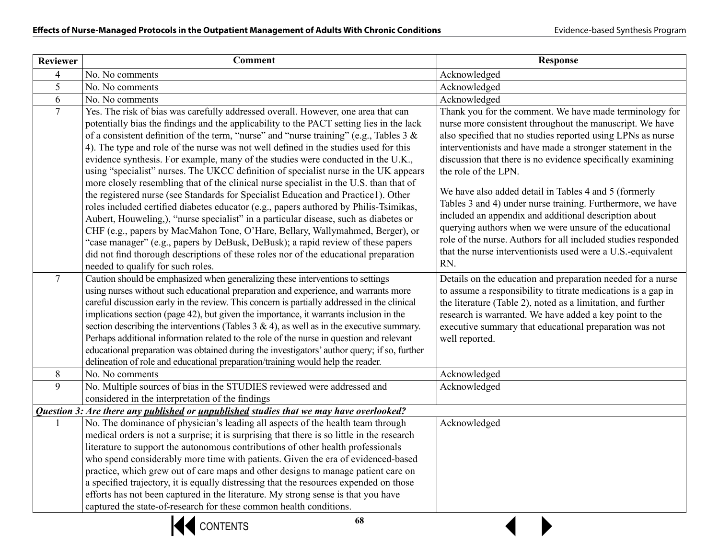| <b>Reviewer</b> | <b>Comment</b>                                                                                                                                                                                                                                                                                                                                                                                                                                                                                                                                                                                                                                                                                                                                                                                                                                                                                                                                                                                                                                                                                                                                                                                                    | <b>Response</b>                                                                                                                                                                                                                                                                                                                                                                                                                                                                                                                                                                                                                                                                                                           |
|-----------------|-------------------------------------------------------------------------------------------------------------------------------------------------------------------------------------------------------------------------------------------------------------------------------------------------------------------------------------------------------------------------------------------------------------------------------------------------------------------------------------------------------------------------------------------------------------------------------------------------------------------------------------------------------------------------------------------------------------------------------------------------------------------------------------------------------------------------------------------------------------------------------------------------------------------------------------------------------------------------------------------------------------------------------------------------------------------------------------------------------------------------------------------------------------------------------------------------------------------|---------------------------------------------------------------------------------------------------------------------------------------------------------------------------------------------------------------------------------------------------------------------------------------------------------------------------------------------------------------------------------------------------------------------------------------------------------------------------------------------------------------------------------------------------------------------------------------------------------------------------------------------------------------------------------------------------------------------------|
| 4               | No. No comments                                                                                                                                                                                                                                                                                                                                                                                                                                                                                                                                                                                                                                                                                                                                                                                                                                                                                                                                                                                                                                                                                                                                                                                                   | Acknowledged                                                                                                                                                                                                                                                                                                                                                                                                                                                                                                                                                                                                                                                                                                              |
| 5               | No. No comments                                                                                                                                                                                                                                                                                                                                                                                                                                                                                                                                                                                                                                                                                                                                                                                                                                                                                                                                                                                                                                                                                                                                                                                                   | Acknowledged                                                                                                                                                                                                                                                                                                                                                                                                                                                                                                                                                                                                                                                                                                              |
| 6               | No. No comments                                                                                                                                                                                                                                                                                                                                                                                                                                                                                                                                                                                                                                                                                                                                                                                                                                                                                                                                                                                                                                                                                                                                                                                                   | Acknowledged                                                                                                                                                                                                                                                                                                                                                                                                                                                                                                                                                                                                                                                                                                              |
| $\overline{7}$  | Yes. The risk of bias was carefully addressed overall. However, one area that can<br>potentially bias the findings and the applicability to the PACT setting lies in the lack<br>of a consistent definition of the term, "nurse" and "nurse training" (e.g., Tables $3 < x$<br>4). The type and role of the nurse was not well defined in the studies used for this<br>evidence synthesis. For example, many of the studies were conducted in the U.K.,<br>using "specialist" nurses. The UKCC definition of specialist nurse in the UK appears<br>more closely resembling that of the clinical nurse specialist in the U.S. than that of<br>the registered nurse (see Standards for Specialist Education and Practice1). Other<br>roles included certified diabetes educator (e.g., papers authored by Philis-Tsimikas,<br>Aubert, Houweling,), "nurse specialist" in a particular disease, such as diabetes or<br>CHF (e.g., papers by MacMahon Tone, O'Hare, Bellary, Wallymahmed, Berger), or<br>"case manager" (e.g., papers by DeBusk, DeBusk); a rapid review of these papers<br>did not find thorough descriptions of these roles nor of the educational preparation<br>needed to qualify for such roles. | Thank you for the comment. We have made terminology for<br>nurse more consistent throughout the manuscript. We have<br>also specified that no studies reported using LPNs as nurse<br>interventionists and have made a stronger statement in the<br>discussion that there is no evidence specifically examining<br>the role of the LPN.<br>We have also added detail in Tables 4 and 5 (formerly<br>Tables 3 and 4) under nurse training. Furthermore, we have<br>included an appendix and additional description about<br>querying authors when we were unsure of the educational<br>role of the nurse. Authors for all included studies responded<br>that the nurse interventionists used were a U.S.-equivalent<br>RN. |
| $7^{\circ}$     | Caution should be emphasized when generalizing these interventions to settings<br>using nurses without such educational preparation and experience, and warrants more<br>careful discussion early in the review. This concern is partially addressed in the clinical<br>implications section (page 42), but given the importance, it warrants inclusion in the<br>section describing the interventions (Tables $3 \& 4$ ), as well as in the executive summary.<br>Perhaps additional information related to the role of the nurse in question and relevant<br>educational preparation was obtained during the investigators' author query; if so, further<br>delineation of role and educational preparation/training would help the reader.                                                                                                                                                                                                                                                                                                                                                                                                                                                                     | Details on the education and preparation needed for a nurse<br>to assume a responsibility to titrate medications is a gap in<br>the literature (Table 2), noted as a limitation, and further<br>research is warranted. We have added a key point to the<br>executive summary that educational preparation was not<br>well reported.                                                                                                                                                                                                                                                                                                                                                                                       |
| 8               | No. No comments                                                                                                                                                                                                                                                                                                                                                                                                                                                                                                                                                                                                                                                                                                                                                                                                                                                                                                                                                                                                                                                                                                                                                                                                   | Acknowledged                                                                                                                                                                                                                                                                                                                                                                                                                                                                                                                                                                                                                                                                                                              |
| 9               | No. Multiple sources of bias in the STUDIES reviewed were addressed and<br>considered in the interpretation of the findings                                                                                                                                                                                                                                                                                                                                                                                                                                                                                                                                                                                                                                                                                                                                                                                                                                                                                                                                                                                                                                                                                       | Acknowledged                                                                                                                                                                                                                                                                                                                                                                                                                                                                                                                                                                                                                                                                                                              |
|                 | Question 3: Are there any published or unpublished studies that we may have overlooked?                                                                                                                                                                                                                                                                                                                                                                                                                                                                                                                                                                                                                                                                                                                                                                                                                                                                                                                                                                                                                                                                                                                           |                                                                                                                                                                                                                                                                                                                                                                                                                                                                                                                                                                                                                                                                                                                           |
|                 | No. The dominance of physician's leading all aspects of the health team through<br>medical orders is not a surprise; it is surprising that there is so little in the research<br>literature to support the autonomous contributions of other health professionals<br>who spend considerably more time with patients. Given the era of evidenced-based<br>practice, which grew out of care maps and other designs to manage patient care on<br>a specified trajectory, it is equally distressing that the resources expended on those<br>efforts has not been captured in the literature. My strong sense is that you have<br>captured the state-of-research for these common health conditions.                                                                                                                                                                                                                                                                                                                                                                                                                                                                                                                   | Acknowledged                                                                                                                                                                                                                                                                                                                                                                                                                                                                                                                                                                                                                                                                                                              |
|                 | 68<br><b>CONTENTS</b>                                                                                                                                                                                                                                                                                                                                                                                                                                                                                                                                                                                                                                                                                                                                                                                                                                                                                                                                                                                                                                                                                                                                                                                             |                                                                                                                                                                                                                                                                                                                                                                                                                                                                                                                                                                                                                                                                                                                           |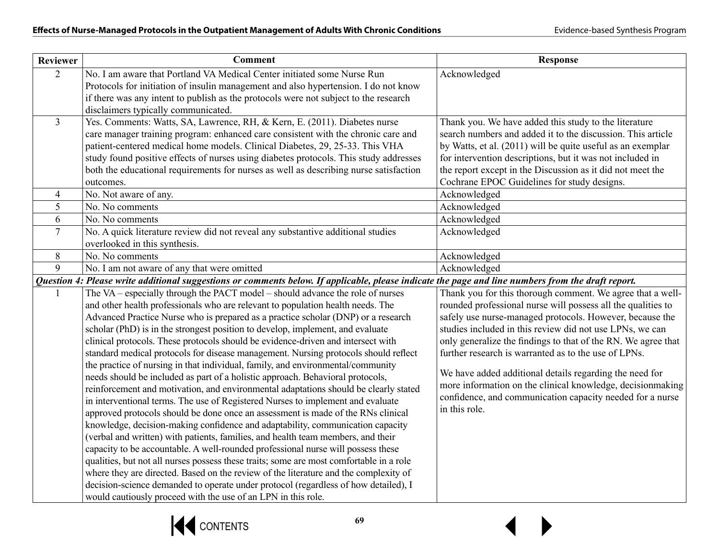| No. I am aware that Portland VA Medical Center initiated some Nurse Run<br>$\overline{2}$<br>Acknowledged<br>Protocols for initiation of insulin management and also hypertension. I do not know<br>if there was any intent to publish as the protocols were not subject to the research<br>disclaimers typically communicated.<br>Yes. Comments: Watts, SA, Lawrence, RH, & Kern, E. (2011). Diabetes nurse<br>$\overline{3}$<br>Thank you. We have added this study to the literature<br>care manager training program: enhanced care consistent with the chronic care and<br>search numbers and added it to the discussion. This article<br>patient-centered medical home models. Clinical Diabetes, 29, 25-33. This VHA<br>by Watts, et al. (2011) will be quite useful as an exemplar<br>study found positive effects of nurses using diabetes protocols. This study addresses<br>for intervention descriptions, but it was not included in<br>both the educational requirements for nurses as well as describing nurse satisfaction<br>the report except in the Discussion as it did not meet the<br>Cochrane EPOC Guidelines for study designs.<br>outcomes.<br>No. Not aware of any.<br>Acknowledged<br>$\overline{4}$<br>5<br>Acknowledged<br>No. No comments<br>6<br>No. No comments<br>Acknowledged<br>No. A quick literature review did not reveal any substantive additional studies<br>$\overline{7}$<br>Acknowledged | <b>Reviewer</b> | <b>Comment</b>                | <b>Response</b>                                               |
|-------------------------------------------------------------------------------------------------------------------------------------------------------------------------------------------------------------------------------------------------------------------------------------------------------------------------------------------------------------------------------------------------------------------------------------------------------------------------------------------------------------------------------------------------------------------------------------------------------------------------------------------------------------------------------------------------------------------------------------------------------------------------------------------------------------------------------------------------------------------------------------------------------------------------------------------------------------------------------------------------------------------------------------------------------------------------------------------------------------------------------------------------------------------------------------------------------------------------------------------------------------------------------------------------------------------------------------------------------------------------------------------------------------------------------------|-----------------|-------------------------------|---------------------------------------------------------------|
|                                                                                                                                                                                                                                                                                                                                                                                                                                                                                                                                                                                                                                                                                                                                                                                                                                                                                                                                                                                                                                                                                                                                                                                                                                                                                                                                                                                                                                     |                 |                               |                                                               |
|                                                                                                                                                                                                                                                                                                                                                                                                                                                                                                                                                                                                                                                                                                                                                                                                                                                                                                                                                                                                                                                                                                                                                                                                                                                                                                                                                                                                                                     |                 |                               |                                                               |
|                                                                                                                                                                                                                                                                                                                                                                                                                                                                                                                                                                                                                                                                                                                                                                                                                                                                                                                                                                                                                                                                                                                                                                                                                                                                                                                                                                                                                                     |                 |                               |                                                               |
|                                                                                                                                                                                                                                                                                                                                                                                                                                                                                                                                                                                                                                                                                                                                                                                                                                                                                                                                                                                                                                                                                                                                                                                                                                                                                                                                                                                                                                     |                 |                               |                                                               |
|                                                                                                                                                                                                                                                                                                                                                                                                                                                                                                                                                                                                                                                                                                                                                                                                                                                                                                                                                                                                                                                                                                                                                                                                                                                                                                                                                                                                                                     |                 |                               |                                                               |
|                                                                                                                                                                                                                                                                                                                                                                                                                                                                                                                                                                                                                                                                                                                                                                                                                                                                                                                                                                                                                                                                                                                                                                                                                                                                                                                                                                                                                                     |                 |                               |                                                               |
|                                                                                                                                                                                                                                                                                                                                                                                                                                                                                                                                                                                                                                                                                                                                                                                                                                                                                                                                                                                                                                                                                                                                                                                                                                                                                                                                                                                                                                     |                 |                               |                                                               |
|                                                                                                                                                                                                                                                                                                                                                                                                                                                                                                                                                                                                                                                                                                                                                                                                                                                                                                                                                                                                                                                                                                                                                                                                                                                                                                                                                                                                                                     |                 |                               |                                                               |
|                                                                                                                                                                                                                                                                                                                                                                                                                                                                                                                                                                                                                                                                                                                                                                                                                                                                                                                                                                                                                                                                                                                                                                                                                                                                                                                                                                                                                                     |                 |                               |                                                               |
|                                                                                                                                                                                                                                                                                                                                                                                                                                                                                                                                                                                                                                                                                                                                                                                                                                                                                                                                                                                                                                                                                                                                                                                                                                                                                                                                                                                                                                     |                 |                               |                                                               |
|                                                                                                                                                                                                                                                                                                                                                                                                                                                                                                                                                                                                                                                                                                                                                                                                                                                                                                                                                                                                                                                                                                                                                                                                                                                                                                                                                                                                                                     |                 |                               |                                                               |
|                                                                                                                                                                                                                                                                                                                                                                                                                                                                                                                                                                                                                                                                                                                                                                                                                                                                                                                                                                                                                                                                                                                                                                                                                                                                                                                                                                                                                                     |                 |                               |                                                               |
|                                                                                                                                                                                                                                                                                                                                                                                                                                                                                                                                                                                                                                                                                                                                                                                                                                                                                                                                                                                                                                                                                                                                                                                                                                                                                                                                                                                                                                     |                 |                               |                                                               |
|                                                                                                                                                                                                                                                                                                                                                                                                                                                                                                                                                                                                                                                                                                                                                                                                                                                                                                                                                                                                                                                                                                                                                                                                                                                                                                                                                                                                                                     |                 | overlooked in this synthesis. |                                                               |
| 8<br>No. No comments<br>Acknowledged                                                                                                                                                                                                                                                                                                                                                                                                                                                                                                                                                                                                                                                                                                                                                                                                                                                                                                                                                                                                                                                                                                                                                                                                                                                                                                                                                                                                |                 |                               |                                                               |
| 9<br>No. I am not aware of any that were omitted<br>Acknowledged                                                                                                                                                                                                                                                                                                                                                                                                                                                                                                                                                                                                                                                                                                                                                                                                                                                                                                                                                                                                                                                                                                                                                                                                                                                                                                                                                                    |                 |                               |                                                               |
| Question 4: Please write additional suggestions or comments below. If applicable, please indicate the page and line numbers from the draft report.                                                                                                                                                                                                                                                                                                                                                                                                                                                                                                                                                                                                                                                                                                                                                                                                                                                                                                                                                                                                                                                                                                                                                                                                                                                                                  |                 |                               |                                                               |
| The VA – especially through the PACT model – should advance the role of nurses                                                                                                                                                                                                                                                                                                                                                                                                                                                                                                                                                                                                                                                                                                                                                                                                                                                                                                                                                                                                                                                                                                                                                                                                                                                                                                                                                      |                 |                               | Thank you for this thorough comment. We agree that a well-    |
| and other health professionals who are relevant to population health needs. The<br>rounded professional nurse will possess all the qualities to                                                                                                                                                                                                                                                                                                                                                                                                                                                                                                                                                                                                                                                                                                                                                                                                                                                                                                                                                                                                                                                                                                                                                                                                                                                                                     |                 |                               |                                                               |
| Advanced Practice Nurse who is prepared as a practice scholar (DNP) or a research<br>safely use nurse-managed protocols. However, because the                                                                                                                                                                                                                                                                                                                                                                                                                                                                                                                                                                                                                                                                                                                                                                                                                                                                                                                                                                                                                                                                                                                                                                                                                                                                                       |                 |                               |                                                               |
| scholar (PhD) is in the strongest position to develop, implement, and evaluate<br>studies included in this review did not use LPNs, we can                                                                                                                                                                                                                                                                                                                                                                                                                                                                                                                                                                                                                                                                                                                                                                                                                                                                                                                                                                                                                                                                                                                                                                                                                                                                                          |                 |                               |                                                               |
| clinical protocols. These protocols should be evidence-driven and intersect with                                                                                                                                                                                                                                                                                                                                                                                                                                                                                                                                                                                                                                                                                                                                                                                                                                                                                                                                                                                                                                                                                                                                                                                                                                                                                                                                                    |                 |                               | only generalize the findings to that of the RN. We agree that |
| standard medical protocols for disease management. Nursing protocols should reflect<br>further research is warranted as to the use of LPNs.                                                                                                                                                                                                                                                                                                                                                                                                                                                                                                                                                                                                                                                                                                                                                                                                                                                                                                                                                                                                                                                                                                                                                                                                                                                                                         |                 |                               |                                                               |
| the practice of nursing in that individual, family, and environmental/community<br>We have added additional details regarding the need for                                                                                                                                                                                                                                                                                                                                                                                                                                                                                                                                                                                                                                                                                                                                                                                                                                                                                                                                                                                                                                                                                                                                                                                                                                                                                          |                 |                               |                                                               |
| needs should be included as part of a holistic approach. Behavioral protocols,                                                                                                                                                                                                                                                                                                                                                                                                                                                                                                                                                                                                                                                                                                                                                                                                                                                                                                                                                                                                                                                                                                                                                                                                                                                                                                                                                      |                 |                               | more information on the clinical knowledge, decision making   |
| reinforcement and motivation, and environmental adaptations should be clearly stated                                                                                                                                                                                                                                                                                                                                                                                                                                                                                                                                                                                                                                                                                                                                                                                                                                                                                                                                                                                                                                                                                                                                                                                                                                                                                                                                                |                 |                               | confidence, and communication capacity needed for a nurse     |
| in interventional terms. The use of Registered Nurses to implement and evaluate<br>in this role.<br>approved protocols should be done once an assessment is made of the RNs clinical                                                                                                                                                                                                                                                                                                                                                                                                                                                                                                                                                                                                                                                                                                                                                                                                                                                                                                                                                                                                                                                                                                                                                                                                                                                |                 |                               |                                                               |
| knowledge, decision-making confidence and adaptability, communication capacity                                                                                                                                                                                                                                                                                                                                                                                                                                                                                                                                                                                                                                                                                                                                                                                                                                                                                                                                                                                                                                                                                                                                                                                                                                                                                                                                                      |                 |                               |                                                               |
| (verbal and written) with patients, families, and health team members, and their                                                                                                                                                                                                                                                                                                                                                                                                                                                                                                                                                                                                                                                                                                                                                                                                                                                                                                                                                                                                                                                                                                                                                                                                                                                                                                                                                    |                 |                               |                                                               |
| capacity to be accountable. A well-rounded professional nurse will possess these                                                                                                                                                                                                                                                                                                                                                                                                                                                                                                                                                                                                                                                                                                                                                                                                                                                                                                                                                                                                                                                                                                                                                                                                                                                                                                                                                    |                 |                               |                                                               |
| qualities, but not all nurses possess these traits; some are most comfortable in a role                                                                                                                                                                                                                                                                                                                                                                                                                                                                                                                                                                                                                                                                                                                                                                                                                                                                                                                                                                                                                                                                                                                                                                                                                                                                                                                                             |                 |                               |                                                               |
| where they are directed. Based on the review of the literature and the complexity of                                                                                                                                                                                                                                                                                                                                                                                                                                                                                                                                                                                                                                                                                                                                                                                                                                                                                                                                                                                                                                                                                                                                                                                                                                                                                                                                                |                 |                               |                                                               |
| decision-science demanded to operate under protocol (regardless of how detailed), I                                                                                                                                                                                                                                                                                                                                                                                                                                                                                                                                                                                                                                                                                                                                                                                                                                                                                                                                                                                                                                                                                                                                                                                                                                                                                                                                                 |                 |                               |                                                               |
| would cautiously proceed with the use of an LPN in this role.                                                                                                                                                                                                                                                                                                                                                                                                                                                                                                                                                                                                                                                                                                                                                                                                                                                                                                                                                                                                                                                                                                                                                                                                                                                                                                                                                                       |                 |                               |                                                               |

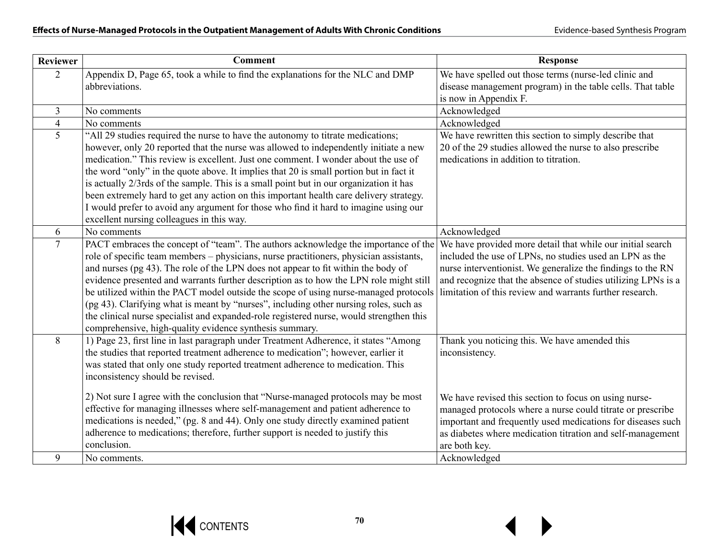| <b>Reviewer</b> | <b>Comment</b>                                                                                                                                                                                                                                                                                                                                                                                                                                                                                                                                                                                                                                                                                     | <b>Response</b>                                                                                                                                                                                                                                                                                                                      |
|-----------------|----------------------------------------------------------------------------------------------------------------------------------------------------------------------------------------------------------------------------------------------------------------------------------------------------------------------------------------------------------------------------------------------------------------------------------------------------------------------------------------------------------------------------------------------------------------------------------------------------------------------------------------------------------------------------------------------------|--------------------------------------------------------------------------------------------------------------------------------------------------------------------------------------------------------------------------------------------------------------------------------------------------------------------------------------|
| $\overline{2}$  | Appendix D, Page 65, took a while to find the explanations for the NLC and DMP<br>abbreviations.                                                                                                                                                                                                                                                                                                                                                                                                                                                                                                                                                                                                   | We have spelled out those terms (nurse-led clinic and<br>disease management program) in the table cells. That table<br>is now in Appendix F.                                                                                                                                                                                         |
| $\overline{3}$  | No comments                                                                                                                                                                                                                                                                                                                                                                                                                                                                                                                                                                                                                                                                                        | Acknowledged                                                                                                                                                                                                                                                                                                                         |
| $\overline{4}$  | No comments                                                                                                                                                                                                                                                                                                                                                                                                                                                                                                                                                                                                                                                                                        | Acknowledged                                                                                                                                                                                                                                                                                                                         |
| 5               | "All 29 studies required the nurse to have the autonomy to titrate medications;<br>however, only 20 reported that the nurse was allowed to independently initiate a new<br>medication." This review is excellent. Just one comment. I wonder about the use of<br>the word "only" in the quote above. It implies that 20 is small portion but in fact it<br>is actually 2/3rds of the sample. This is a small point but in our organization it has<br>been extremely hard to get any action on this important health care delivery strategy.<br>I would prefer to avoid any argument for those who find it hard to imagine using our<br>excellent nursing colleagues in this way.                   | We have rewritten this section to simply describe that<br>20 of the 29 studies allowed the nurse to also prescribe<br>medications in addition to titration.                                                                                                                                                                          |
| 6               | No comments                                                                                                                                                                                                                                                                                                                                                                                                                                                                                                                                                                                                                                                                                        | Acknowledged                                                                                                                                                                                                                                                                                                                         |
| $\tau$          | PACT embraces the concept of "team". The authors acknowledge the importance of the<br>role of specific team members – physicians, nurse practitioners, physician assistants,<br>and nurses (pg 43). The role of the LPN does not appear to fit within the body of<br>evidence presented and warrants further description as to how the LPN role might still<br>be utilized within the PACT model outside the scope of using nurse-managed protocols<br>(pg 43). Clarifying what is meant by "nurses", including other nursing roles, such as<br>the clinical nurse specialist and expanded-role registered nurse, would strengthen this<br>comprehensive, high-quality evidence synthesis summary. | We have provided more detail that while our initial search<br>included the use of LPNs, no studies used an LPN as the<br>nurse interventionist. We generalize the findings to the RN<br>and recognize that the absence of studies utilizing LPNs is a<br>limitation of this review and warrants further research.                    |
| 8               | 1) Page 23, first line in last paragraph under Treatment Adherence, it states "Among<br>the studies that reported treatment adherence to medication"; however, earlier it<br>was stated that only one study reported treatment adherence to medication. This<br>inconsistency should be revised.<br>2) Not sure I agree with the conclusion that "Nurse-managed protocols may be most<br>effective for managing illnesses where self-management and patient adherence to<br>medications is needed," (pg. 8 and 44). Only one study directly examined patient<br>adherence to medications; therefore, further support is needed to justify this<br>conclusion.                                      | Thank you noticing this. We have amended this<br>inconsistency.<br>We have revised this section to focus on using nurse-<br>managed protocols where a nurse could titrate or prescribe<br>important and frequently used medications for diseases such<br>as diabetes where medication titration and self-management<br>are both key. |
| 9               | No comments.                                                                                                                                                                                                                                                                                                                                                                                                                                                                                                                                                                                                                                                                                       | Acknowledged                                                                                                                                                                                                                                                                                                                         |

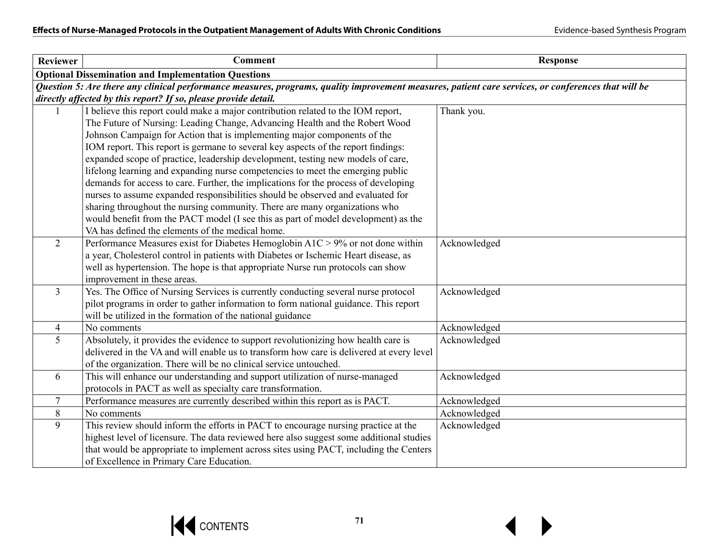| <b>Reviewer</b> | <b>Comment</b>                                                                                                                                                                                                                                                                                                                                                                                                                                                                                                                                                                                                                                                                                                                                                                                                                                                                                          | <b>Response</b> |
|-----------------|---------------------------------------------------------------------------------------------------------------------------------------------------------------------------------------------------------------------------------------------------------------------------------------------------------------------------------------------------------------------------------------------------------------------------------------------------------------------------------------------------------------------------------------------------------------------------------------------------------------------------------------------------------------------------------------------------------------------------------------------------------------------------------------------------------------------------------------------------------------------------------------------------------|-----------------|
|                 | <b>Optional Dissemination and Implementation Questions</b>                                                                                                                                                                                                                                                                                                                                                                                                                                                                                                                                                                                                                                                                                                                                                                                                                                              |                 |
|                 | Question 5: Are there any clinical performance measures, programs, quality improvement measures, patient care services, or conferences that will be<br>directly affected by this report? If so, please provide detail.                                                                                                                                                                                                                                                                                                                                                                                                                                                                                                                                                                                                                                                                                  |                 |
|                 | I believe this report could make a major contribution related to the IOM report,<br>The Future of Nursing: Leading Change, Advancing Health and the Robert Wood<br>Johnson Campaign for Action that is implementing major components of the<br>IOM report. This report is germane to several key aspects of the report findings:<br>expanded scope of practice, leadership development, testing new models of care,<br>lifelong learning and expanding nurse competencies to meet the emerging public<br>demands for access to care. Further, the implications for the process of developing<br>nurses to assume expanded responsibilities should be observed and evaluated for<br>sharing throughout the nursing community. There are many organizations who<br>would benefit from the PACT model (I see this as part of model development) as the<br>VA has defined the elements of the medical home. | Thank you.      |
| $\overline{2}$  | Performance Measures exist for Diabetes Hemoglobin $A1C > 9%$ or not done within<br>a year, Cholesterol control in patients with Diabetes or Ischemic Heart disease, as<br>well as hypertension. The hope is that appropriate Nurse run protocols can show<br>improvement in these areas.                                                                                                                                                                                                                                                                                                                                                                                                                                                                                                                                                                                                               | Acknowledged    |
| $\overline{3}$  | Yes. The Office of Nursing Services is currently conducting several nurse protocol<br>pilot programs in order to gather information to form national guidance. This report<br>will be utilized in the formation of the national guidance                                                                                                                                                                                                                                                                                                                                                                                                                                                                                                                                                                                                                                                                | Acknowledged    |
| $\overline{4}$  | No comments                                                                                                                                                                                                                                                                                                                                                                                                                                                                                                                                                                                                                                                                                                                                                                                                                                                                                             | Acknowledged    |
| $\overline{5}$  | Absolutely, it provides the evidence to support revolutionizing how health care is<br>delivered in the VA and will enable us to transform how care is delivered at every level<br>of the organization. There will be no clinical service untouched.                                                                                                                                                                                                                                                                                                                                                                                                                                                                                                                                                                                                                                                     | Acknowledged    |
| 6               | This will enhance our understanding and support utilization of nurse-managed<br>protocols in PACT as well as specialty care transformation.                                                                                                                                                                                                                                                                                                                                                                                                                                                                                                                                                                                                                                                                                                                                                             | Acknowledged    |
| $\overline{7}$  | Performance measures are currently described within this report as is PACT.                                                                                                                                                                                                                                                                                                                                                                                                                                                                                                                                                                                                                                                                                                                                                                                                                             | Acknowledged    |
| 8               | No comments                                                                                                                                                                                                                                                                                                                                                                                                                                                                                                                                                                                                                                                                                                                                                                                                                                                                                             | Acknowledged    |
| 9               | This review should inform the efforts in PACT to encourage nursing practice at the<br>highest level of licensure. The data reviewed here also suggest some additional studies<br>that would be appropriate to implement across sites using PACT, including the Centers<br>of Excellence in Primary Care Education.                                                                                                                                                                                                                                                                                                                                                                                                                                                                                                                                                                                      | Acknowledged    |

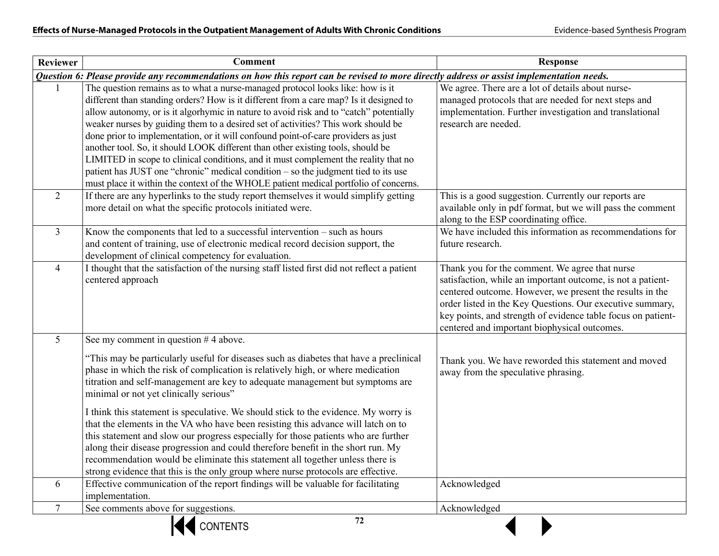| <b>Reviewer</b> | <b>Comment</b>                                                                                                                                                                                                                                                                                                                                                                                                                                                                                                                                                                                                                                                                                                                                                                                         | <b>Response</b>                                                                                                                                                                                                                                                                                                                                        |
|-----------------|--------------------------------------------------------------------------------------------------------------------------------------------------------------------------------------------------------------------------------------------------------------------------------------------------------------------------------------------------------------------------------------------------------------------------------------------------------------------------------------------------------------------------------------------------------------------------------------------------------------------------------------------------------------------------------------------------------------------------------------------------------------------------------------------------------|--------------------------------------------------------------------------------------------------------------------------------------------------------------------------------------------------------------------------------------------------------------------------------------------------------------------------------------------------------|
|                 | Question 6: Please provide any recommendations on how this report can be revised to more directly address or assist implementation needs.                                                                                                                                                                                                                                                                                                                                                                                                                                                                                                                                                                                                                                                              |                                                                                                                                                                                                                                                                                                                                                        |
|                 | The question remains as to what a nurse-managed protocol looks like: how is it<br>different than standing orders? How is it different from a care map? Is it designed to<br>allow autonomy, or is it algorhymic in nature to avoid risk and to "catch" potentially<br>weaker nurses by guiding them to a desired set of activities? This work should be<br>done prior to implementation, or it will confound point-of-care providers as just<br>another tool. So, it should LOOK different than other existing tools, should be<br>LIMITED in scope to clinical conditions, and it must complement the reality that no<br>patient has JUST one "chronic" medical condition $-$ so the judgment tied to its use<br>must place it within the context of the WHOLE patient medical portfolio of concerns. | We agree. There are a lot of details about nurse-<br>managed protocols that are needed for next steps and<br>implementation. Further investigation and translational<br>research are needed.                                                                                                                                                           |
| $\overline{2}$  | If there are any hyperlinks to the study report themselves it would simplify getting<br>more detail on what the specific protocols initiated were.                                                                                                                                                                                                                                                                                                                                                                                                                                                                                                                                                                                                                                                     | This is a good suggestion. Currently our reports are<br>available only in pdf format, but we will pass the comment<br>along to the ESP coordinating office.                                                                                                                                                                                            |
| $\overline{3}$  | Know the components that led to a successful intervention – such as hours<br>and content of training, use of electronic medical record decision support, the<br>development of clinical competency for evaluation.                                                                                                                                                                                                                                                                                                                                                                                                                                                                                                                                                                                     | We have included this information as recommendations for<br>future research.                                                                                                                                                                                                                                                                           |
| $\overline{4}$  | I thought that the satisfaction of the nursing staff listed first did not reflect a patient<br>centered approach                                                                                                                                                                                                                                                                                                                                                                                                                                                                                                                                                                                                                                                                                       | Thank you for the comment. We agree that nurse<br>satisfaction, while an important outcome, is not a patient-<br>centered outcome. However, we present the results in the<br>order listed in the Key Questions. Our executive summary,<br>key points, and strength of evidence table focus on patient-<br>centered and important biophysical outcomes. |
| 5               | See my comment in question $#4$ above.                                                                                                                                                                                                                                                                                                                                                                                                                                                                                                                                                                                                                                                                                                                                                                 |                                                                                                                                                                                                                                                                                                                                                        |
|                 | "This may be particularly useful for diseases such as diabetes that have a preclinical<br>phase in which the risk of complication is relatively high, or where medication<br>titration and self-management are key to adequate management but symptoms are<br>minimal or not yet clinically serious"                                                                                                                                                                                                                                                                                                                                                                                                                                                                                                   | Thank you. We have reworded this statement and moved<br>away from the speculative phrasing.                                                                                                                                                                                                                                                            |
|                 | I think this statement is speculative. We should stick to the evidence. My worry is<br>that the elements in the VA who have been resisting this advance will latch on to<br>this statement and slow our progress especially for those patients who are further<br>along their disease progression and could therefore benefit in the short run. My<br>recommendation would be eliminate this statement all together unless there is<br>strong evidence that this is the only group where nurse protocols are effective.                                                                                                                                                                                                                                                                                |                                                                                                                                                                                                                                                                                                                                                        |
| 6               | Effective communication of the report findings will be valuable for facilitating<br>implementation.                                                                                                                                                                                                                                                                                                                                                                                                                                                                                                                                                                                                                                                                                                    | Acknowledged                                                                                                                                                                                                                                                                                                                                           |
| $\overline{7}$  | See comments above for suggestions.                                                                                                                                                                                                                                                                                                                                                                                                                                                                                                                                                                                                                                                                                                                                                                    | Acknowledged                                                                                                                                                                                                                                                                                                                                           |
|                 | 72<br><b>CONTENTS</b>                                                                                                                                                                                                                                                                                                                                                                                                                                                                                                                                                                                                                                                                                                                                                                                  |                                                                                                                                                                                                                                                                                                                                                        |

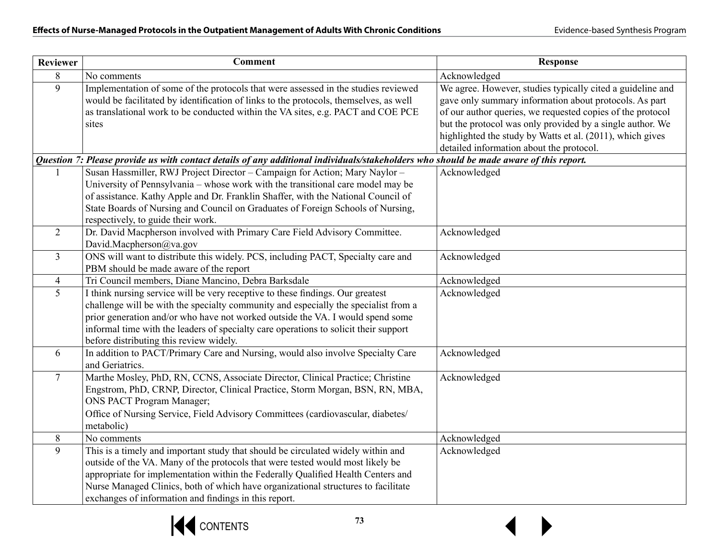| <b>Reviewer</b> | <b>Comment</b>                                                                                                                                                        | <b>Response</b>                                            |
|-----------------|-----------------------------------------------------------------------------------------------------------------------------------------------------------------------|------------------------------------------------------------|
| 8               | No comments                                                                                                                                                           | Acknowledged                                               |
| 9               | Implementation of some of the protocols that were assessed in the studies reviewed                                                                                    | We agree. However, studies typically cited a guideline and |
|                 | would be facilitated by identification of links to the protocols, themselves, as well                                                                                 | gave only summary information about protocols. As part     |
|                 | as translational work to be conducted within the VA sites, e.g. PACT and COE PCE                                                                                      | of our author queries, we requested copies of the protocol |
|                 | sites                                                                                                                                                                 | but the protocol was only provided by a single author. We  |
|                 |                                                                                                                                                                       | highlighted the study by Watts et al. (2011), which gives  |
|                 |                                                                                                                                                                       | detailed information about the protocol.                   |
|                 | Question 7: Please provide us with contact details of any additional individuals/stakeholders who should be made aware of this report.                                |                                                            |
|                 | Susan Hassmiller, RWJ Project Director - Campaign for Action; Mary Naylor -                                                                                           | Acknowledged                                               |
|                 | University of Pennsylvania – whose work with the transitional care model may be                                                                                       |                                                            |
|                 | of assistance. Kathy Apple and Dr. Franklin Shaffer, with the National Council of                                                                                     |                                                            |
|                 | State Boards of Nursing and Council on Graduates of Foreign Schools of Nursing,                                                                                       |                                                            |
|                 | respectively, to guide their work.                                                                                                                                    |                                                            |
| $\overline{2}$  | Dr. David Macpherson involved with Primary Care Field Advisory Committee.                                                                                             | Acknowledged                                               |
|                 | David.Macpherson@va.gov                                                                                                                                               |                                                            |
| $\mathfrak{Z}$  | ONS will want to distribute this widely. PCS, including PACT, Specialty care and                                                                                      | Acknowledged                                               |
|                 | PBM should be made aware of the report                                                                                                                                |                                                            |
| $\overline{4}$  | Tri Council members, Diane Mancino, Debra Barksdale                                                                                                                   | Acknowledged                                               |
| 5               | I think nursing service will be very receptive to these findings. Our greatest                                                                                        | Acknowledged                                               |
|                 | challenge will be with the specialty community and especially the specialist from a<br>prior generation and/or who have not worked outside the VA. I would spend some |                                                            |
|                 | informal time with the leaders of specialty care operations to solicit their support                                                                                  |                                                            |
|                 | before distributing this review widely.                                                                                                                               |                                                            |
| 6               | In addition to PACT/Primary Care and Nursing, would also involve Specialty Care                                                                                       | Acknowledged                                               |
|                 | and Geriatrics.                                                                                                                                                       |                                                            |
| $\tau$          | Marthe Mosley, PhD, RN, CCNS, Associate Director, Clinical Practice; Christine                                                                                        | Acknowledged                                               |
|                 | Engstrom, PhD, CRNP, Director, Clinical Practice, Storm Morgan, BSN, RN, MBA,                                                                                         |                                                            |
|                 | <b>ONS PACT Program Manager;</b>                                                                                                                                      |                                                            |
|                 | Office of Nursing Service, Field Advisory Committees (cardiovascular, diabetes/                                                                                       |                                                            |
|                 | metabolic)                                                                                                                                                            |                                                            |
| 8               | No comments                                                                                                                                                           | Acknowledged                                               |
| 9               | This is a timely and important study that should be circulated widely within and                                                                                      | Acknowledged                                               |
|                 | outside of the VA. Many of the protocols that were tested would most likely be                                                                                        |                                                            |
|                 | appropriate for implementation within the Federally Qualified Health Centers and                                                                                      |                                                            |
|                 | Nurse Managed Clinics, both of which have organizational structures to facilitate                                                                                     |                                                            |
|                 | exchanges of information and findings in this report.                                                                                                                 |                                                            |

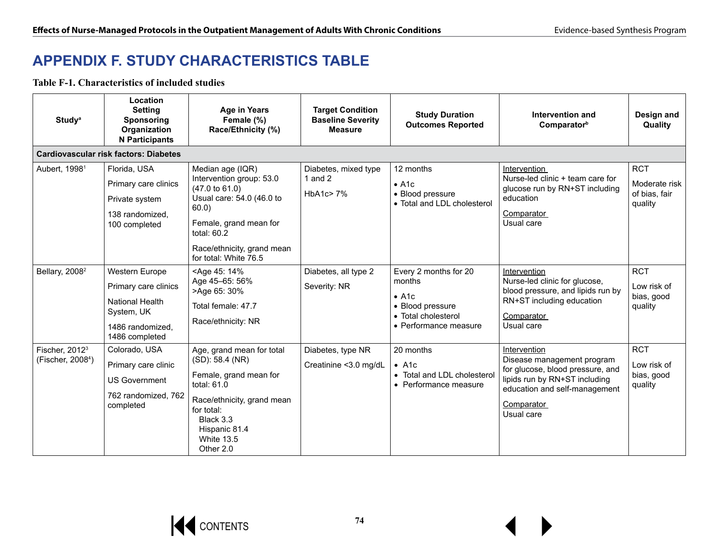# **APPENDIX F. STUDY CHARACTERISTICS TABLE**

**Table F-1. Characteristics of included studies**

| <b>Study</b> <sup>a</sup>                                   | Location<br><b>Setting</b><br><b>Sponsoring</b><br>Organization<br><b>N</b> Participants                             | <b>Age in Years</b><br>Female (%)<br>Race/Ethnicity (%)                                                                                                                                                        | <b>Target Condition</b><br><b>Baseline Severity</b><br><b>Measure</b> | <b>Study Duration</b><br><b>Outcomes Reported</b>                                                                                | Intervention and<br>Comparatorb                                                                                                                                              | Design and<br>Quality                                   |
|-------------------------------------------------------------|----------------------------------------------------------------------------------------------------------------------|----------------------------------------------------------------------------------------------------------------------------------------------------------------------------------------------------------------|-----------------------------------------------------------------------|----------------------------------------------------------------------------------------------------------------------------------|------------------------------------------------------------------------------------------------------------------------------------------------------------------------------|---------------------------------------------------------|
|                                                             | <b>Cardiovascular risk factors: Diabetes</b>                                                                         |                                                                                                                                                                                                                |                                                                       |                                                                                                                                  |                                                                                                                                                                              |                                                         |
| Aubert, 1998 <sup>1</sup>                                   | Florida, USA<br>Primary care clinics<br>Private system<br>138 randomized.<br>100 completed                           | Median age (IQR)<br>Intervention group: 53.0<br>$(47.0 \text{ to } 61.0)$<br>Usual care: 54.0 (46.0 to<br>60.0<br>Female, grand mean for<br>total: 60.2<br>Race/ethnicity, grand mean<br>for total: White 76.5 | Diabetes, mixed type<br>1 and $2$<br>HbA1c $>$ 7%                     | 12 months<br>$\bullet$ A <sub>1c</sub><br>• Blood pressure<br>• Total and LDL cholesterol                                        | Intervention<br>Nurse-led clinic + team care for<br>glucose run by RN+ST including<br>education<br>Comparator<br>Usual care                                                  | <b>RCT</b><br>Moderate risk<br>of bias, fair<br>quality |
| Bellary, 2008 <sup>2</sup>                                  | Western Europe<br>Primary care clinics<br><b>National Health</b><br>System, UK<br>1486 randomized,<br>1486 completed | <age 14%<br="" 45:="">Age 45-65: 56%<br/>&gt;Age 65: 30%<br/>Total female: 47.7<br/>Race/ethnicity: NR</age>                                                                                                   | Diabetes, all type 2<br>Severity: NR                                  | Every 2 months for 20<br>months<br>$\bullet$ A <sub>1c</sub><br>• Blood pressure<br>• Total cholesterol<br>• Performance measure | Intervention<br>Nurse-led clinic for glucose,<br>blood pressure, and lipids run by<br>RN+ST including education<br>Comparator<br>Usual care                                  | <b>RCT</b><br>Low risk of<br>bias, good<br>quality      |
| Fischer, 2012 <sup>3</sup><br>(Fischer, 2008 <sup>4</sup> ) | Colorado, USA<br>Primary care clinic<br><b>US Government</b><br>762 randomized, 762<br>completed                     | Age, grand mean for total<br>(SD): 58.4 (NR)<br>Female, grand mean for<br>total: $61.0$<br>Race/ethnicity, grand mean<br>for total:<br>Black 3.3<br>Hispanic 81.4<br><b>White 13.5</b><br>Other 2.0            | Diabetes, type NR<br>Creatinine <3.0 mg/dL                            | 20 months<br>$\bullet$ A1c<br>• Total and LDL cholesterol<br>• Performance measure                                               | Intervention<br>Disease management program<br>for glucose, blood pressure, and<br>lipids run by RN+ST including<br>education and self-management<br>Comparator<br>Usual care | <b>RCT</b><br>Low risk of<br>bias, good<br>quality      |

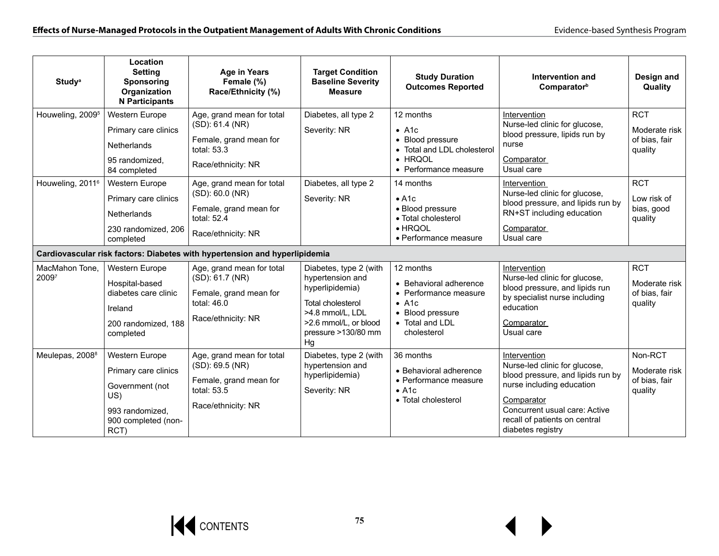| <b>Study</b> <sup>a</sup>    | Location<br><b>Setting</b><br>Sponsoring<br>Organization<br><b>N</b> Participants                                  | <b>Age in Years</b><br>Female (%)<br>Race/Ethnicity (%)                                                       | <b>Target Condition</b><br><b>Baseline Severity</b><br><b>Measure</b>                                                                                        | <b>Study Duration</b><br><b>Outcomes Reported</b>                                                                                   | Intervention and<br>Comparator <sup>b</sup>                                                                                                                                                                          | Design and<br>Quality                                   |
|------------------------------|--------------------------------------------------------------------------------------------------------------------|---------------------------------------------------------------------------------------------------------------|--------------------------------------------------------------------------------------------------------------------------------------------------------------|-------------------------------------------------------------------------------------------------------------------------------------|----------------------------------------------------------------------------------------------------------------------------------------------------------------------------------------------------------------------|---------------------------------------------------------|
| Houweling, 2009 <sup>5</sup> | Western Europe<br>Primary care clinics<br>Netherlands<br>95 randomized,<br>84 completed                            | Age, grand mean for total<br>(SD): 61.4 (NR)<br>Female, grand mean for<br>total: $53.3$<br>Race/ethnicity: NR | Diabetes, all type 2<br>Severity: NR                                                                                                                         | 12 months<br>$\bullet$ A1c<br>• Blood pressure<br>• Total and LDL cholesterol<br>• HRQOL<br>• Performance measure                   | Intervention<br>Nurse-led clinic for glucose,<br>blood pressure, lipids run by<br>nurse<br>Comparator<br>Usual care                                                                                                  | <b>RCT</b><br>Moderate risk<br>of bias, fair<br>quality |
| Houweling, 2011 <sup>6</sup> | Western Europe<br>Primary care clinics<br><b>Netherlands</b><br>230 randomized, 206<br>completed                   | Age, grand mean for total<br>(SD): 60.0 (NR)<br>Female, grand mean for<br>total: 52.4<br>Race/ethnicity: NR   | Diabetes, all type 2<br>Severity: NR                                                                                                                         | 14 months<br>• A1c<br>· Blood pressure<br>• Total cholesterol<br>$\bullet$ HRQOL<br>• Performance measure                           | Intervention<br>Nurse-led clinic for glucose,<br>blood pressure, and lipids run by<br>RN+ST including education<br>Comparator<br>Usual care                                                                          | <b>RCT</b><br>Low risk of<br>bias, good<br>quality      |
|                              |                                                                                                                    | Cardiovascular risk factors: Diabetes with hypertension and hyperlipidemia                                    |                                                                                                                                                              |                                                                                                                                     |                                                                                                                                                                                                                      |                                                         |
| MacMahon Tone,<br>20097      | Western Europe<br>Hospital-based<br>diabetes care clinic<br>Ireland<br>200 randomized, 188<br>completed            | Age, grand mean for total<br>(SD): 61.7 (NR)<br>Female, grand mean for<br>total: $46.0$<br>Race/ethnicity: NR | Diabetes, type 2 (with<br>hypertension and<br>hyperlipidemia)<br>Total cholesterol<br>>4.8 mmol/L, LDL<br>>2.6 mmol/L, or blood<br>pressure >130/80 mm<br>Hq | 12 months<br>• Behavioral adherence<br>• Performance measure<br>$\bullet$ A1c<br>• Blood pressure<br>• Total and LDL<br>cholesterol | Intervention<br>Nurse-led clinic for glucose,<br>blood pressure, and lipids run<br>by specialist nurse including<br>education<br>Comparator<br>Usual care                                                            | <b>RCT</b><br>Moderate risk<br>of bias, fair<br>quality |
| Meulepas, 2008 <sup>8</sup>  | Western Europe<br>Primary care clinics<br>Government (not<br>US)<br>993 randomized.<br>900 completed (non-<br>RCT) | Age, grand mean for total<br>(SD): 69.5 (NR)<br>Female, grand mean for<br>total: $53.5$<br>Race/ethnicity: NR | Diabetes, type 2 (with<br>hypertension and<br>hyperlipidemia)<br>Severity: NR                                                                                | 36 months<br>• Behavioral adherence<br>• Performance measure<br>$\bullet$ A <sub>1c</sub><br>• Total cholesterol                    | Intervention<br>Nurse-led clinic for glucose,<br>blood pressure, and lipids run by<br>nurse including education<br>Comparator<br>Concurrent usual care: Active<br>recall of patients on central<br>diabetes registry | Non-RCT<br>Moderate risk<br>of bias, fair<br>quality    |

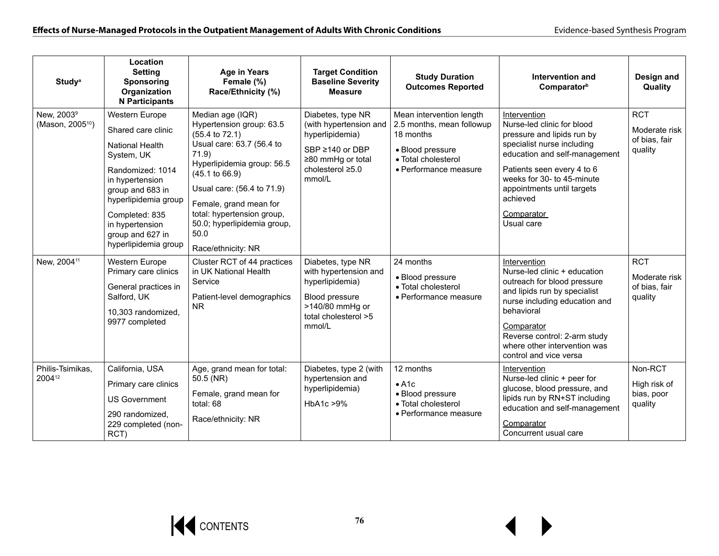| <b>Study</b> <sup>a</sup>                                                         | Location<br><b>Setting</b><br><b>Sponsoring</b><br>Organization<br><b>N</b> Participants                                                                                                                                                                                                   | <b>Age in Years</b><br>Female (%)<br>Race/Ethnicity (%)                                                                                                                                                                                                                                                                                                                                         | <b>Target Condition</b><br><b>Baseline Severity</b><br><b>Measure</b>                                                                                                                                 | <b>Study Duration</b><br><b>Outcomes Reported</b>                                                                                                                       | Intervention and<br>Comparator <sup>b</sup>                                                                                                                                                                                                                                                                                                              | Design and<br>Quality                                                                  |
|-----------------------------------------------------------------------------------|--------------------------------------------------------------------------------------------------------------------------------------------------------------------------------------------------------------------------------------------------------------------------------------------|-------------------------------------------------------------------------------------------------------------------------------------------------------------------------------------------------------------------------------------------------------------------------------------------------------------------------------------------------------------------------------------------------|-------------------------------------------------------------------------------------------------------------------------------------------------------------------------------------------------------|-------------------------------------------------------------------------------------------------------------------------------------------------------------------------|----------------------------------------------------------------------------------------------------------------------------------------------------------------------------------------------------------------------------------------------------------------------------------------------------------------------------------------------------------|----------------------------------------------------------------------------------------|
| New, 2003 <sup>9</sup><br>(Mason, 2005 <sup>10</sup> )<br>New, 2004 <sup>11</sup> | Western Europe<br>Shared care clinic<br><b>National Health</b><br>System, UK<br>Randomized: 1014<br>in hypertension<br>group and 683 in<br>hyperlipidemia group<br>Completed: 835<br>in hypertension<br>group and 627 in<br>hyperlipidemia group<br>Western Europe<br>Primary care clinics | Median age (IQR)<br>Hypertension group: 63.5<br>$(55.4 \text{ to } 72.1)$<br>Usual care: 63.7 (56.4 to<br>71.9<br>Hyperlipidemia group: 56.5<br>$(45.1 \text{ to } 66.9)$<br>Usual care: (56.4 to 71.9)<br>Female, grand mean for<br>total: hypertension group,<br>50.0; hyperlipidemia group,<br>50.0<br>Race/ethnicity: NR<br>Cluster RCT of 44 practices<br>in UK National Health<br>Service | Diabetes, type NR<br>(with hypertension and<br>hyperlipidemia)<br>SBP ≥140 or DBP<br>≥80 mmHg or total<br>cholesterol ≥5.0<br>mmol/L<br>Diabetes, type NR<br>with hypertension and<br>hyperlipidemia) | Mean intervention length<br>2.5 months, mean followup<br>18 months<br>• Blood pressure<br>• Total cholesterol<br>• Performance measure<br>24 months<br>• Blood pressure | Intervention<br>Nurse-led clinic for blood<br>pressure and lipids run by<br>specialist nurse including<br>education and self-management<br>Patients seen every 4 to 6<br>weeks for 30- to 45-minute<br>appointments until targets<br>achieved<br>Comparator<br>Usual care<br>Intervention<br>Nurse-led clinic + education<br>outreach for blood pressure | <b>RCT</b><br>Moderate risk<br>of bias, fair<br>quality<br><b>RCT</b><br>Moderate risk |
| Philis-Tsimikas,                                                                  | General practices in<br>• Total cholesterol<br>Salford, UK<br>Patient-level demographics<br>Blood pressure<br>· Performance measure<br>>140/80 mmHg or<br>N <sub>R</sub><br>10,303 randomized,<br>total cholesterol >5<br>9977 completed<br>mmol/L<br>California, USA                      | 12 months                                                                                                                                                                                                                                                                                                                                                                                       | and lipids run by specialist<br>nurse including education and<br>behavioral<br>Comparator<br>Reverse control: 2-arm study<br>where other intervention was<br>control and vice versa<br>Intervention   | of bias, fair<br>quality<br>Non-RCT                                                                                                                                     |                                                                                                                                                                                                                                                                                                                                                          |                                                                                        |
| 200412                                                                            | Primary care clinics<br><b>US Government</b><br>290 randomized.<br>229 completed (non-<br>RCT)                                                                                                                                                                                             | Age, grand mean for total:<br>50.5 (NR)<br>Female, grand mean for<br>total: 68<br>Race/ethnicity: NR                                                                                                                                                                                                                                                                                            | Diabetes, type 2 (with<br>hypertension and<br>hyperlipidemia)<br>HbA1c > 9%                                                                                                                           | • A1c<br>• Blood pressure<br>• Total cholesterol<br>• Performance measure                                                                                               | Nurse-led clinic + peer for<br>glucose, blood pressure, and<br>lipids run by RN+ST including<br>education and self-management<br>Comparator<br>Concurrent usual care                                                                                                                                                                                     | High risk of<br>bias, poor<br>quality                                                  |

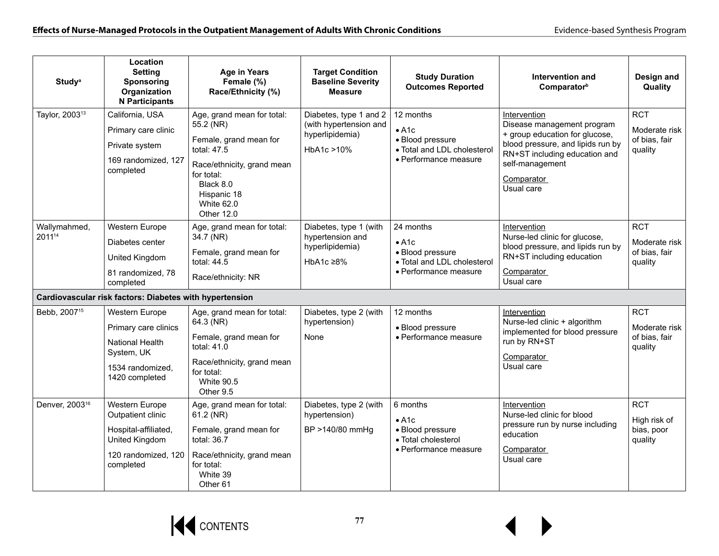| <b>Study</b> <sup>a</sup>  | Location<br><b>Setting</b><br>Sponsoring<br>Organization<br><b>N</b> Participants                                 | <b>Age in Years</b><br>Female (%)<br>Race/Ethnicity (%)                                                                                                                                     | <b>Target Condition</b><br><b>Baseline Severity</b><br><b>Measure</b>              | <b>Study Duration</b><br><b>Outcomes Reported</b>                                                      | <b>Intervention and</b><br>Comparator <sup>b</sup>                                                                                                                                                | Design and<br>Quality                                   |
|----------------------------|-------------------------------------------------------------------------------------------------------------------|---------------------------------------------------------------------------------------------------------------------------------------------------------------------------------------------|------------------------------------------------------------------------------------|--------------------------------------------------------------------------------------------------------|---------------------------------------------------------------------------------------------------------------------------------------------------------------------------------------------------|---------------------------------------------------------|
| Taylor, 2003 <sup>13</sup> | California, USA<br>Primary care clinic<br>Private system<br>169 randomized, 127<br>completed                      | Age, grand mean for total:<br>55.2 (NR)<br>Female, grand mean for<br>total: 47.5<br>Race/ethnicity, grand mean<br>for total:<br>Black 8.0<br>Hispanic 18<br><b>White 62.0</b><br>Other 12.0 | Diabetes, type 1 and 2<br>(with hypertension and<br>hyperlipidemia)<br>HbA1c > 10% | 12 months<br>$\bullet$ A1c<br>· Blood pressure<br>• Total and LDL cholesterol<br>· Performance measure | Intervention<br>Disease management program<br>+ group education for glucose,<br>blood pressure, and lipids run by<br>RN+ST including education and<br>self-management<br>Comparator<br>Usual care | <b>RCT</b><br>Moderate risk<br>of bias, fair<br>quality |
| Wallymahmed,<br>201114     | Western Europe<br>Diabetes center<br>United Kingdom<br>81 randomized, 78<br>completed                             | Age, grand mean for total:<br>34.7 (NR)<br>Female, grand mean for<br>total: 44.5<br>Race/ethnicity: NR                                                                                      | Diabetes, type 1 (with<br>hypertension and<br>hyperlipidemia)<br>HbA1c ≥8%         | 24 months<br>$\bullet$ A1c<br>· Blood pressure<br>• Total and LDL cholesterol<br>• Performance measure | Intervention<br>Nurse-led clinic for glucose,<br>blood pressure, and lipids run by<br>RN+ST including education<br><b>Comparator</b><br>Usual care                                                | <b>RCT</b><br>Moderate risk<br>of bias, fair<br>quality |
|                            | Cardiovascular risk factors: Diabetes with hypertension                                                           |                                                                                                                                                                                             |                                                                                    |                                                                                                        |                                                                                                                                                                                                   |                                                         |
| Bebb, 2007 <sup>15</sup>   | Western Europe<br>Primary care clinics<br>National Health<br>System, UK<br>1534 randomized.<br>1420 completed     | Age, grand mean for total:<br>64.3 (NR)<br>Female, grand mean for<br>total: 41.0<br>Race/ethnicity, grand mean<br>for total:<br><b>White 90.5</b><br>Other 9.5                              | Diabetes, type 2 (with<br>hypertension)<br>None                                    | 12 months<br>• Blood pressure<br>• Performance measure                                                 | Intervention<br>Nurse-led clinic + algorithm<br>implemented for blood pressure<br>run by RN+ST<br>Comparator<br>Usual care                                                                        | <b>RCT</b><br>Moderate risk<br>of bias, fair<br>quality |
| Denver, 2003 <sup>16</sup> | Western Europe<br>Outpatient clinic<br>Hospital-affiliated,<br>United Kingdom<br>120 randomized, 120<br>completed | Age, grand mean for total:<br>$61.2$ (NR)<br>Female, grand mean for<br>total: $36.7$<br>Race/ethnicity, grand mean<br>for total:<br>White 39<br>Other <sub>61</sub>                         | Diabetes, type 2 (with<br>hypertension)<br>BP >140/80 mmHg                         | 6 months<br>$\bullet$ A1c<br>· Blood pressure<br>• Total cholesterol<br>• Performance measure          | Intervention<br>Nurse-led clinic for blood<br>pressure run by nurse including<br>education<br>Comparator<br>Usual care                                                                            | <b>RCT</b><br>High risk of<br>bias, poor<br>quality     |

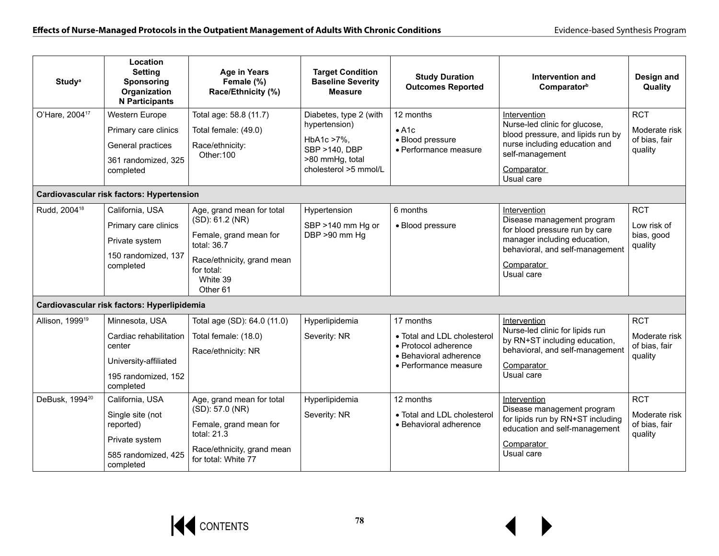| <b>Study</b> <sup>a</sup>   | Location<br><b>Setting</b><br>Sponsoring<br>Organization<br><b>N</b> Participants                               | <b>Age in Years</b><br>Female (%)<br>Race/Ethnicity (%)                                                                                                                | <b>Target Condition</b><br><b>Baseline Severity</b><br><b>Measure</b>                                              | <b>Study Duration</b><br><b>Outcomes Reported</b>                                                                   | Intervention and<br>Comparatorb                                                                                                                                             | Design and<br>Quality                                   |
|-----------------------------|-----------------------------------------------------------------------------------------------------------------|------------------------------------------------------------------------------------------------------------------------------------------------------------------------|--------------------------------------------------------------------------------------------------------------------|---------------------------------------------------------------------------------------------------------------------|-----------------------------------------------------------------------------------------------------------------------------------------------------------------------------|---------------------------------------------------------|
| O'Hare, 2004 <sup>17</sup>  | Western Europe<br>Primary care clinics<br>General practices<br>361 randomized, 325<br>completed                 | Total age: 58.8 (11.7)<br>Total female: (49.0)<br>Race/ethnicity:<br>Other:100                                                                                         | Diabetes, type 2 (with<br>hypertension)<br>HbA1c >7%.<br>SBP >140, DBP<br>>80 mmHg, total<br>cholesterol >5 mmol/L | 12 months<br>• A1c<br>• Blood pressure<br>• Performance measure                                                     | Intervention<br>Nurse-led clinic for glucose,<br>blood pressure, and lipids run by<br>nurse including education and<br>self-management<br>Comparator<br>Usual care          | <b>RCT</b><br>Moderate risk<br>of bias, fair<br>quality |
|                             | Cardiovascular risk factors: Hypertension                                                                       |                                                                                                                                                                        |                                                                                                                    |                                                                                                                     |                                                                                                                                                                             |                                                         |
| Rudd, 2004 <sup>18</sup>    | California, USA<br>Primary care clinics<br>Private system<br>150 randomized, 137<br>completed                   | Age, grand mean for total<br>(SD): 61.2 (NR)<br>Female, grand mean for<br>total: $36.7$<br>Race/ethnicity, grand mean<br>for total:<br>White 39<br>Other <sub>61</sub> | Hypertension<br>SBP >140 mm Hg or<br>DBP >90 mm Hg                                                                 | 6 months<br>· Blood pressure                                                                                        | Intervention<br>Disease management program<br>for blood pressure run by care<br>manager including education,<br>behavioral, and self-management<br>Comparator<br>Usual care | <b>RCT</b><br>Low risk of<br>bias, good<br>quality      |
|                             | Cardiovascular risk factors: Hyperlipidemia                                                                     |                                                                                                                                                                        |                                                                                                                    |                                                                                                                     |                                                                                                                                                                             |                                                         |
| Allison, 1999 <sup>19</sup> | Minnesota, USA<br>Cardiac rehabilitation<br>center<br>University-affiliated<br>195 randomized, 152<br>completed | Total age (SD): 64.0 (11.0)<br>Total female: (18.0)<br>Race/ethnicity: NR                                                                                              | Hyperlipidemia<br>Severity: NR                                                                                     | 17 months<br>• Total and LDL cholesterol<br>• Protocol adherence<br>• Behavioral adherence<br>• Performance measure | Intervention<br>Nurse-led clinic for lipids run<br>by RN+ST including education,<br>behavioral, and self-management<br>Comparator<br>Usual care                             | <b>RCT</b><br>Moderate risk<br>of bias, fair<br>quality |
| DeBusk, 1994 <sup>20</sup>  | California, USA<br>Single site (not<br>reported)<br>Private system<br>585 randomized, 425<br>completed          | Age, grand mean for total<br>(SD): 57.0 (NR)<br>Female, grand mean for<br>total: 21.3<br>Race/ethnicity, grand mean<br>for total: White 77                             | Hyperlipidemia<br>Severity: NR                                                                                     | 12 months<br>• Total and LDL cholesterol<br>• Behavioral adherence                                                  | Intervention<br>Disease management program<br>for lipids run by RN+ST including<br>education and self-management<br>Comparator<br>Usual care                                | <b>RCT</b><br>Moderate risk<br>of bias, fair<br>quality |

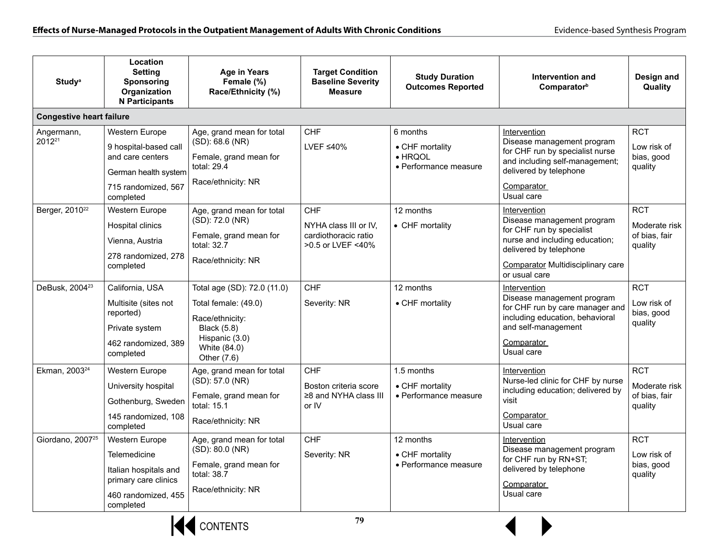| <b>Study</b> <sup>a</sup>        | Location<br><b>Setting</b><br>Sponsoring<br>Organization<br><b>N</b> Participants                                       | <b>Age in Years</b><br>Female (%)<br>Race/Ethnicity (%)                                                     | <b>Target Condition</b><br><b>Baseline Severity</b><br><b>Measure</b> | <b>Study Duration</b><br><b>Outcomes Reported</b>                       | Intervention and<br>Comparator <sup>b</sup>                                                                                                                           | Design and<br>Quality                              |
|----------------------------------|-------------------------------------------------------------------------------------------------------------------------|-------------------------------------------------------------------------------------------------------------|-----------------------------------------------------------------------|-------------------------------------------------------------------------|-----------------------------------------------------------------------------------------------------------------------------------------------------------------------|----------------------------------------------------|
| <b>Congestive heart failure</b>  |                                                                                                                         |                                                                                                             |                                                                       |                                                                         |                                                                                                                                                                       |                                                    |
| Angermann,<br>2012 <sup>21</sup> | Western Europe<br>9 hospital-based call<br>and care centers<br>German health system<br>715 randomized, 567<br>completed | Age, grand mean for total<br>(SD): 68.6 (NR)<br>Female, grand mean for<br>total: 29.4<br>Race/ethnicity: NR | <b>CHF</b><br>LVEF $\leq 40\%$                                        | 6 months<br>• CHF mortality<br>$\bullet$ HRQOL<br>• Performance measure | Intervention<br>Disease management program<br>for CHF run by specialist nurse<br>and including self-management;<br>delivered by telephone<br>Comparator<br>Usual care | <b>RCT</b><br>Low risk of<br>bias, good<br>quality |
| Berger, 2010 <sup>22</sup>       | Western Europe                                                                                                          | Age, grand mean for total                                                                                   | <b>CHF</b>                                                            | 12 months                                                               | Intervention                                                                                                                                                          | <b>RCT</b>                                         |
|                                  | Hospital clinics<br>Vienna, Austria<br>278 randomized, 278                                                              | (SD): 72.0 (NR)<br>Female, grand mean for<br>total: 32.7<br>Race/ethnicity: NR                              | NYHA class III or IV,<br>cardiothoracic ratio<br>>0.5 or LVEF <40%    | • CHF mortality                                                         | Disease management program<br>for CHF run by specialist<br>nurse and including education;<br>delivered by telephone                                                   | Moderate risk<br>of bias, fair<br>quality          |
|                                  | completed                                                                                                               |                                                                                                             |                                                                       |                                                                         | <b>Comparator Multidisciplinary care</b><br>or usual care                                                                                                             |                                                    |
| DeBusk, 2004 <sup>23</sup>       | California, USA                                                                                                         | Total age (SD): 72.0 (11.0)                                                                                 | <b>CHF</b>                                                            | 12 months                                                               | Intervention                                                                                                                                                          | <b>RCT</b>                                         |
|                                  | Multisite (sites not<br>reported)<br>Private system<br>462 randomized, 389<br>completed                                 | Total female: (49.0)<br>Race/ethnicity:<br><b>Black</b> (5.8)<br>Hispanic (3.0)<br>White (84.0)             | Severity: NR                                                          | • CHF mortality                                                         | Disease management program<br>for CHF run by care manager and<br>including education, behavioral<br>and self-management<br>Comparator<br>Usual care                   | Low risk of<br>bias, good<br>quality               |
| Ekman, 2003 <sup>24</sup>        | Western Europe                                                                                                          | Other (7.6)<br>Age, grand mean for total                                                                    | <b>CHF</b>                                                            | 1.5 months                                                              | Intervention                                                                                                                                                          | <b>RCT</b>                                         |
|                                  | University hospital<br>Gothenburg, Sweden                                                                               | (SD): 57.0 (NR)<br>Female, grand mean for<br>total: 15.1                                                    | Boston criteria score<br>≥8 and NYHA class III<br>or IV               | • CHF mortality<br>• Performance measure                                | Nurse-led clinic for CHF by nurse<br>including education; delivered by<br>visit                                                                                       | Moderate risk<br>of bias, fair<br>quality          |
|                                  | 145 randomized, 108<br>completed                                                                                        | Race/ethnicity: NR                                                                                          |                                                                       |                                                                         | Comparator<br>Usual care                                                                                                                                              |                                                    |
| Giordano, 2007 <sup>25</sup>     | Western Europe<br>Telemedicine<br>Italian hospitals and                                                                 | Age, grand mean for total<br>(SD): 80.0 (NR)<br>Female, grand mean for<br>total: 38.7                       | <b>CHF</b><br>Severity: NR                                            | 12 months<br>• CHF mortality<br>• Performance measure                   | Intervention<br>Disease management program<br>for CHF run by RN+ST;<br>delivered by telephone                                                                         | <b>RCT</b><br>Low risk of<br>bias, good<br>quality |
|                                  | primary care clinics<br>460 randomized, 455<br>completed                                                                | Race/ethnicity: NR                                                                                          |                                                                       |                                                                         | Comparator<br>Usual care                                                                                                                                              |                                                    |



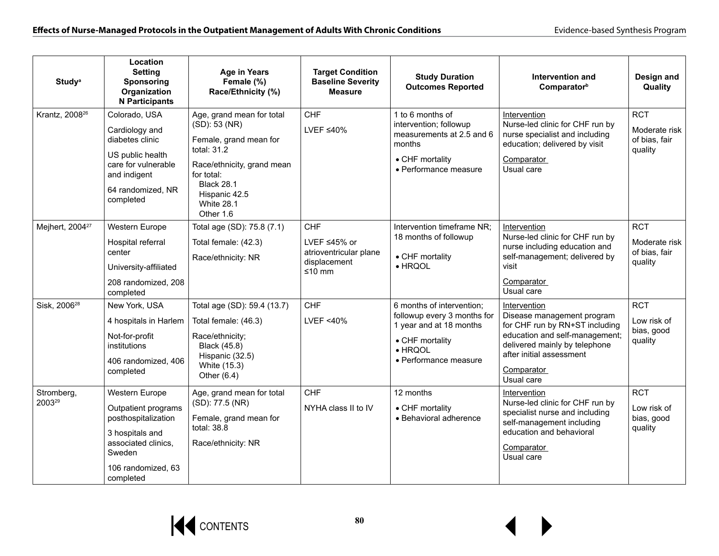| <b>Study</b> <sup>a</sup>   | Location<br>Settina<br>Sponsoring<br>Organization<br><b>N</b> Participants                                                                          | <b>Age in Years</b><br>Female (%)<br>Race/Ethnicity (%)                                                                                                                                                 | <b>Target Condition</b><br><b>Baseline Severity</b><br><b>Measure</b>          | <b>Study Duration</b><br><b>Outcomes Reported</b>                                                                                                  | Intervention and<br>Comparator <sup>b</sup>                                                                                                                                                             | Design and<br>Quality                                   |
|-----------------------------|-----------------------------------------------------------------------------------------------------------------------------------------------------|---------------------------------------------------------------------------------------------------------------------------------------------------------------------------------------------------------|--------------------------------------------------------------------------------|----------------------------------------------------------------------------------------------------------------------------------------------------|---------------------------------------------------------------------------------------------------------------------------------------------------------------------------------------------------------|---------------------------------------------------------|
| Krantz, 2008 <sup>26</sup>  | Colorado, USA<br>Cardiology and<br>diabetes clinic<br>US public health<br>care for vulnerable<br>and indigent<br>64 randomized, NR<br>completed     | Age, grand mean for total<br>(SD): 53 (NR)<br>Female, grand mean for<br>total: 31.2<br>Race/ethnicity, grand mean<br>for total:<br><b>Black 28.1</b><br>Hispanic 42.5<br><b>White 28.1</b><br>Other 1.6 | <b>CHF</b><br>LVEF $\leq 40\%$                                                 | 1 to 6 months of<br>intervention; followup<br>measurements at 2.5 and 6<br>months<br>• CHF mortality<br>• Performance measure                      | Intervention<br>Nurse-led clinic for CHF run by<br>nurse specialist and including<br>education; delivered by visit<br>Comparator<br>Usual care                                                          | <b>RCT</b><br>Moderate risk<br>of bias, fair<br>quality |
| Mejhert, 2004 <sup>27</sup> | Western Europe<br>Hospital referral<br>center<br>University-affiliated<br>208 randomized, 208<br>completed                                          | Total age (SD): 75.8 (7.1)<br>Total female: (42.3)<br>Race/ethnicity: NR                                                                                                                                | <b>CHF</b><br>LVEF ≤45% or<br>atrioventricular plane<br>displacement<br>≤10 mm | Intervention timeframe NR;<br>18 months of followup<br>• CHF mortality<br>$\bullet$ HRQOL                                                          | Intervention<br>Nurse-led clinic for CHF run by<br>nurse including education and<br>self-management; delivered by<br>visit<br>Comparator<br>Usual care                                                  | <b>RCT</b><br>Moderate risk<br>of bias, fair<br>quality |
| Sisk, 2006 <sup>28</sup>    | New York, USA<br>4 hospitals in Harlem<br>Not-for-profit<br>institutions<br>406 randomized, 406<br>completed                                        | Total age (SD): 59.4 (13.7)<br>Total female: (46.3)<br>Race/ethnicity;<br>Black (45.8)<br>Hispanic (32.5)<br>White (15.3)<br>Other $(6.4)$                                                              | <b>CHF</b><br><b>LVEF &lt;40%</b>                                              | 6 months of intervention;<br>followup every 3 months for<br>1 year and at 18 months<br>• CHF mortality<br>$\bullet$ HRQOL<br>• Performance measure | Intervention<br>Disease management program<br>for CHF run by RN+ST including<br>education and self-management;<br>delivered mainly by telephone<br>after initial assessment<br>Comparator<br>Usual care | <b>RCT</b><br>Low risk of<br>bias, good<br>quality      |
| Stromberg,<br>200329        | Western Europe<br>Outpatient programs<br>posthospitalization<br>3 hospitals and<br>associated clinics,<br>Sweden<br>106 randomized, 63<br>completed | Age, grand mean for total<br>(SD): 77.5 (NR)<br>Female, grand mean for<br>total: 38.8<br>Race/ethnicity: NR                                                                                             | <b>CHF</b><br>NYHA class II to IV                                              | 12 months<br>• CHF mortality<br>• Behavioral adherence                                                                                             | Intervention<br>Nurse-led clinic for CHF run by<br>specialist nurse and including<br>self-management including<br>education and behavioral<br><b>Comparator</b><br>Usual care                           | <b>RCT</b><br>Low risk of<br>bias, good<br>quality      |

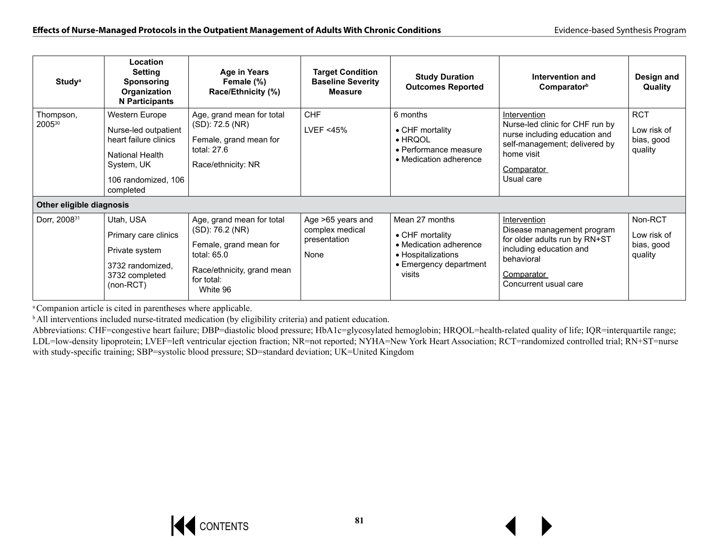| <b>Study</b> <sup>a</sup> | Location<br><b>Setting</b><br><b>Sponsoring</b><br>Organization<br><b>N</b> Participants                                             | <b>Age in Years</b><br>Female (%)<br>Race/Ethnicity (%)                                                                                         | <b>Target Condition</b><br><b>Baseline Severity</b><br><b>Measure</b> | <b>Study Duration</b><br><b>Outcomes Reported</b>                                                                     | Intervention and<br>Comparator <sup>b</sup>                                                                                                                 | Design and<br><b>Quality</b>                       |
|---------------------------|--------------------------------------------------------------------------------------------------------------------------------------|-------------------------------------------------------------------------------------------------------------------------------------------------|-----------------------------------------------------------------------|-----------------------------------------------------------------------------------------------------------------------|-------------------------------------------------------------------------------------------------------------------------------------------------------------|----------------------------------------------------|
| Thompson,<br>200530       | Western Europe<br>Nurse-led outpatient<br>heart failure clinics<br>National Health<br>System, UK<br>106 randomized, 106<br>completed | Age, grand mean for total<br>(SD): 72.5 (NR)<br>Female, grand mean for<br>total: 27.6<br>Race/ethnicity: NR                                     | <b>CHF</b><br>LVEF $<$ 45%                                            | 6 months<br>• CHF mortality<br>$\bullet$ HRQOL<br>• Performance measure<br>• Medication adherence                     | Intervention<br>Nurse-led clinic for CHF run by<br>nurse including education and<br>self-management; delivered by<br>home visit<br>Comparator<br>Usual care | <b>RCT</b><br>Low risk of<br>bias, good<br>quality |
| Other eligible diagnosis  |                                                                                                                                      |                                                                                                                                                 |                                                                       |                                                                                                                       |                                                                                                                                                             |                                                    |
| Dorr, 2008 <sup>31</sup>  | Utah, USA<br>Primary care clinics<br>Private system<br>3732 randomized,<br>3732 completed<br>$(non-RCT)$                             | Age, grand mean for total<br>(SD): 76.2 (NR)<br>Female, grand mean for<br>total: $65.0$<br>Race/ethnicity, grand mean<br>for total:<br>White 96 | Age >65 years and<br>complex medical<br>presentation<br>None          | Mean 27 months<br>• CHF mortality<br>• Medication adherence<br>• Hospitalizations<br>• Emergency department<br>visits | Intervention<br>Disease management program<br>for older adults run by RN+ST<br>including education and<br>behavioral<br>Comparator<br>Concurrent usual care | Non-RCT<br>Low risk of<br>bias, good<br>quality    |

a Companion article is cited in parentheses where applicable.

<sup>b</sup> All interventions included nurse-titrated medication (by eligibility criteria) and patient education.

Abbreviations: CHF=congestive heart failure; DBP=diastolic blood pressure; HbA1c=glycosylated hemoglobin; HRQOL=health-related quality of life; IQR=interquartile range; LDL=low-density lipoprotein; LVEF=left ventricular ejection fraction; NR=not reported; NYHA=New York Heart Association; RCT=randomized controlled trial; RN+ST=nurse with study-specific training; SBP=systolic blood pressure; SD=standard deviation; UK=United Kingdom

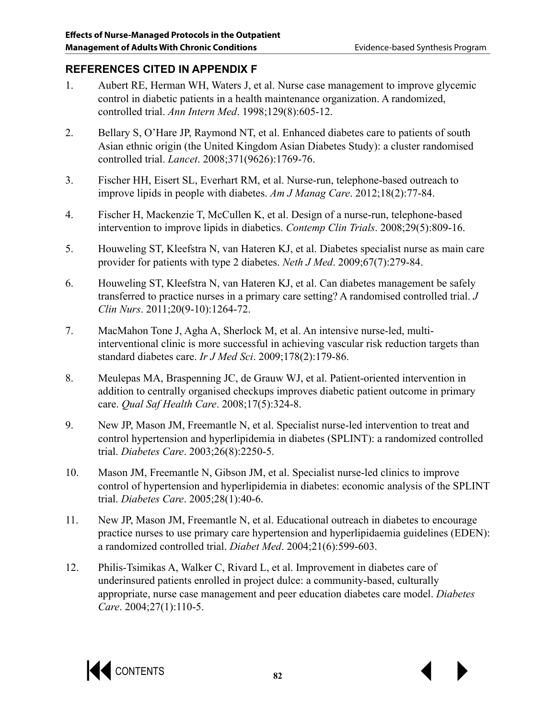# **REFERENCES CITED IN APPENDIX F**

- 1. Aubert RE, Herman WH, Waters J, et al. Nurse case management to improve glycemic control in diabetic patients in a health maintenance organization. A randomized, controlled trial. *Ann Intern Med*. 1998;129(8):605-12.
- 2. Bellary S, O'Hare JP, Raymond NT, et al. Enhanced diabetes care to patients of south Asian ethnic origin (the United Kingdom Asian Diabetes Study): a cluster randomised controlled trial. *Lancet*. 2008;371(9626):1769-76.
- 3. Fischer HH, Eisert SL, Everhart RM, et al. Nurse-run, telephone-based outreach to improve lipids in people with diabetes. *Am J Manag Care*. 2012;18(2):77-84.
- 4. Fischer H, Mackenzie T, McCullen K, et al. Design of a nurse-run, telephone-based intervention to improve lipids in diabetics. *Contemp Clin Trials*. 2008;29(5):809-16.
- 5. Houweling ST, Kleefstra N, van Hateren KJ, et al. Diabetes specialist nurse as main care provider for patients with type 2 diabetes. *Neth J Med*. 2009;67(7):279-84.
- 6. Houweling ST, Kleefstra N, van Hateren KJ, et al. Can diabetes management be safely transferred to practice nurses in a primary care setting? A randomised controlled trial. *J Clin Nurs*. 2011;20(9-10):1264-72.
- 7. MacMahon Tone J, Agha A, Sherlock M, et al. An intensive nurse-led, multiinterventional clinic is more successful in achieving vascular risk reduction targets than standard diabetes care. *Ir J Med Sci*. 2009;178(2):179-86.
- 8. Meulepas MA, Braspenning JC, de Grauw WJ, et al. Patient-oriented intervention in addition to centrally organised checkups improves diabetic patient outcome in primary care. *Qual Saf Health Care*. 2008;17(5):324-8.
- 9. New JP, Mason JM, Freemantle N, et al. Specialist nurse-led intervention to treat and control hypertension and hyperlipidemia in diabetes (SPLINT): a randomized controlled trial. *Diabetes Care*. 2003;26(8):2250-5.
- 10. Mason JM, Freemantle N, Gibson JM, et al. Specialist nurse-led clinics to improve control of hypertension and hyperlipidemia in diabetes: economic analysis of the SPLINT trial. *Diabetes Care*. 2005;28(1):40-6.
- 11. New JP, Mason JM, Freemantle N, et al. Educational outreach in diabetes to encourage practice nurses to use primary care hypertension and hyperlipidaemia guidelines (EDEN): a randomized controlled trial. *Diabet Med*. 2004;21(6):599-603.
- 12. Philis-Tsimikas A, Walker C, Rivard L, et al. Improvement in diabetes care of underinsured patients enrolled in project dulce: a community-based, culturally appropriate, nurse case management and peer education diabetes care model. *Diabetes Care*. 2004;27(1):110-5.

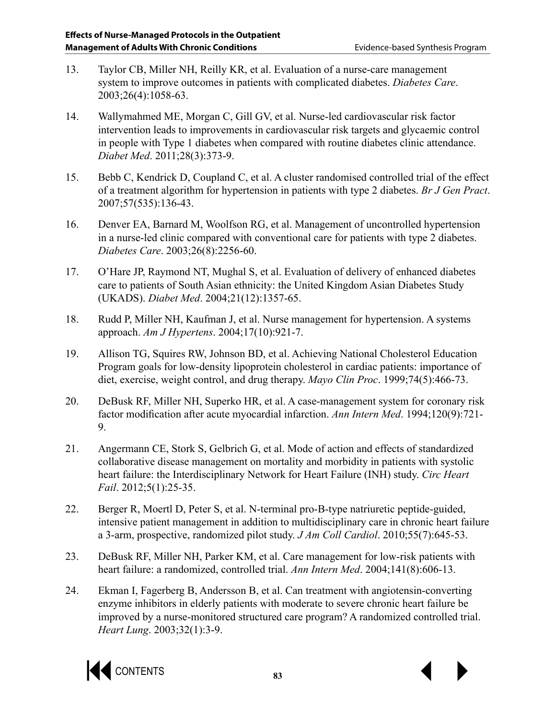- 13. Taylor CB, Miller NH, Reilly KR, et al. Evaluation of a nurse-care management system to improve outcomes in patients with complicated diabetes. *Diabetes Care*. 2003;26(4):1058-63.
- 14. Wallymahmed ME, Morgan C, Gill GV, et al. Nurse-led cardiovascular risk factor intervention leads to improvements in cardiovascular risk targets and glycaemic control in people with Type 1 diabetes when compared with routine diabetes clinic attendance. *Diabet Med*. 2011;28(3):373-9.
- 15. Bebb C, Kendrick D, Coupland C, et al. A cluster randomised controlled trial of the effect of a treatment algorithm for hypertension in patients with type 2 diabetes. *Br J Gen Pract*. 2007;57(535):136-43.
- 16. Denver EA, Barnard M, Woolfson RG, et al. Management of uncontrolled hypertension in a nurse-led clinic compared with conventional care for patients with type 2 diabetes. *Diabetes Care*. 2003;26(8):2256-60.
- 17. O'Hare JP, Raymond NT, Mughal S, et al. Evaluation of delivery of enhanced diabetes care to patients of South Asian ethnicity: the United Kingdom Asian Diabetes Study (UKADS). *Diabet Med*. 2004;21(12):1357-65.
- 18. Rudd P, Miller NH, Kaufman J, et al. Nurse management for hypertension. A systems approach. *Am J Hypertens*. 2004;17(10):921-7.
- 19. Allison TG, Squires RW, Johnson BD, et al. Achieving National Cholesterol Education Program goals for low-density lipoprotein cholesterol in cardiac patients: importance of diet, exercise, weight control, and drug therapy. *Mayo Clin Proc*. 1999;74(5):466-73.
- 20. DeBusk RF, Miller NH, Superko HR, et al. A case-management system for coronary risk factor modification after acute myocardial infarction. *Ann Intern Med*. 1994;120(9):721- 9.
- 21. Angermann CE, Stork S, Gelbrich G, et al. Mode of action and effects of standardized collaborative disease management on mortality and morbidity in patients with systolic heart failure: the Interdisciplinary Network for Heart Failure (INH) study. *Circ Heart Fail*. 2012;5(1):25-35.
- 22. Berger R, Moertl D, Peter S, et al. N-terminal pro-B-type natriuretic peptide-guided, intensive patient management in addition to multidisciplinary care in chronic heart failure a 3-arm, prospective, randomized pilot study. *J Am Coll Cardiol*. 2010;55(7):645-53.
- 23. DeBusk RF, Miller NH, Parker KM, et al. Care management for low-risk patients with heart failure: a randomized, controlled trial. *Ann Intern Med*. 2004;141(8):606-13.
- 24. Ekman I, Fagerberg B, Andersson B, et al. Can treatment with angiotensin-converting enzyme inhibitors in elderly patients with moderate to severe chronic heart failure be improved by a nurse-monitored structured care program? A randomized controlled trial. *Heart Lung*. 2003;32(1):3-9.

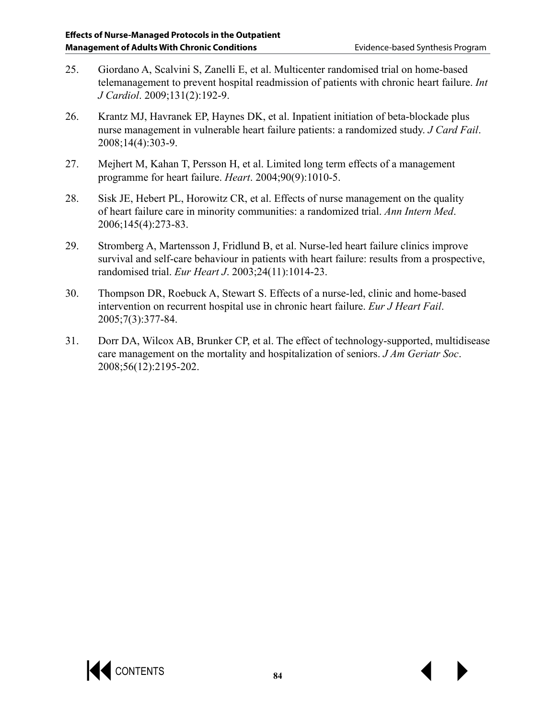- 25. Giordano A, Scalvini S, Zanelli E, et al. Multicenter randomised trial on home-based telemanagement to prevent hospital readmission of patients with chronic heart failure. *Int J Cardiol*. 2009;131(2):192-9.
- 26. Krantz MJ, Havranek EP, Haynes DK, et al. Inpatient initiation of beta-blockade plus nurse management in vulnerable heart failure patients: a randomized study. *J Card Fail*. 2008;14(4):303-9.
- 27. Mejhert M, Kahan T, Persson H, et al. Limited long term effects of a management programme for heart failure. *Heart*. 2004;90(9):1010-5.
- 28. Sisk JE, Hebert PL, Horowitz CR, et al. Effects of nurse management on the quality of heart failure care in minority communities: a randomized trial. *Ann Intern Med*. 2006;145(4):273-83.
- 29. Stromberg A, Martensson J, Fridlund B, et al. Nurse-led heart failure clinics improve survival and self-care behaviour in patients with heart failure: results from a prospective, randomised trial. *Eur Heart J*. 2003;24(11):1014-23.
- 30. Thompson DR, Roebuck A, Stewart S. Effects of a nurse-led, clinic and home-based intervention on recurrent hospital use in chronic heart failure. *Eur J Heart Fail*. 2005;7(3):377-84.
- 31. Dorr DA, Wilcox AB, Brunker CP, et al. The effect of technology-supported, multidisease care management on the mortality and hospitalization of seniors. *J Am Geriatr Soc*. 2008;56(12):2195-202.

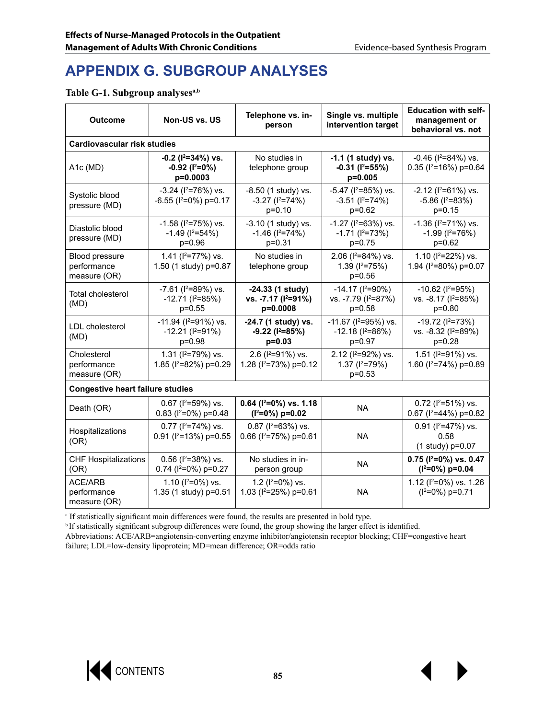# **APPENDIX G. SUBGROUP ANALYSES**

#### Table G-1. Subgroup analyses<sup>a,b</sup>

| <b>Outcome</b>                                | Single vs. multiple<br>Telephone vs. in-<br>Non-US vs. US<br>intervention target<br>person |                                                                  | <b>Education with self-</b><br>management or<br>behavioral vs. not    |                                                                       |  |  |  |  |
|-----------------------------------------------|--------------------------------------------------------------------------------------------|------------------------------------------------------------------|-----------------------------------------------------------------------|-----------------------------------------------------------------------|--|--|--|--|
| <b>Cardiovascular risk studies</b>            |                                                                                            |                                                                  |                                                                       |                                                                       |  |  |  |  |
| A1c (MD)                                      | $-0.2$ ( $I^2 = 34\%$ ) vs.<br>$-0.92$ ( $1^2=0\%$ )<br>$p=0.0003$                         | No studies in<br>telephone group                                 | $-1.1$ (1 study) vs.<br>$-0.31$ ( $1^2 = 55\%$ )<br>$p=0.005$         | $-0.46$ ( $1^2$ =84%) vs.<br>0.35 ( $I^2$ =16%) p=0.64                |  |  |  |  |
| Systolic blood<br>pressure (MD)               | $-3.24$ ( $1^2$ =76%) vs.<br>$-6.55$ ( $1^2$ =0%) p=0.17                                   | $-8.50$ (1 study) vs.<br>$-3.27$ ( $1^{2}=74\%$ )<br>$p=0.10$    | $-5.47$ ( $12=85\%$ ) vs.<br>$-3.51$ ( $1^2=74\%$ )<br>p=0.62         | $-2.12$ ( $1^2=61\%$ ) vs.<br>$-5.86$ ( $1^2 = 83\%$ )<br>$p=0.15$    |  |  |  |  |
| Diastolic blood<br>pressure (MD)              | $-1.58$ ( $I^2 = 75\%$ ) vs.<br>$-1.49$ ( $1^2=54\%$ )<br>p=0.96                           | $-3.10$ (1 study) vs.<br>$-1.46$ ( $1^{2}=74\%$ )<br>$p = 0.31$  | $-1.27$ ( $1^2$ =63%) vs.<br>$-1.71$ ( $1^2=73\%$ )<br>p=0.75         | $-1.36$ ( $1^2$ =71%) vs.<br>$-1.99$ ( $1^2=76\%$ )<br>p=0.62         |  |  |  |  |
| Blood pressure<br>performance<br>measure (OR) | 1.41 ( $1^2$ =77%) vs.<br>1.50 (1 study) p=0.87                                            | No studies in<br>telephone group                                 | 2.06 ( $1^2$ =84%) vs.<br>1.39 $(1^2=75%)$<br>$p=0.56$                | 1.10 ( $1^2$ =22%) vs.<br>1.94 ( $1^2$ =80%) p=0.07                   |  |  |  |  |
| <b>Total cholesterol</b><br>(MD)              | $-7.61$ ( $1^2$ =89%) vs.<br>$-12.71$ ( $1^2=85\%)$<br>$p=0.55$                            | $-24.33(1$ study)<br>vs. -7.17 (I <sup>2</sup> =91%)<br>p=0.0008 | $-14.17$ ( $12=90\%$ )<br>vs. -7.79 (I <sup>2</sup> =87%)<br>$p=0.58$ | $-10.62$ ( $12=95\%$ )<br>vs. -8.17 ( $1^2$ =85%)<br>$p=0.80$         |  |  |  |  |
| <b>LDL</b> cholesterol<br>(MD)                | $-11.94$ ( $12=91\%$ ) vs.<br>$-12.21$ ( $1^2=91\%$ )<br>$p=0.98$                          | -24.7 (1 study) vs.<br>$-9.22$ ( $1^2=85\%$ )<br>$p=0.03$        | $-11.67$ ( $1^2$ =95%) vs.<br>$-12.18(1^{2}=86%)$<br>p=0.97           | $-19.72$ ( $12=73\%$ )<br>vs. -8.32 (I <sup>2</sup> =89%)<br>$p=0.28$ |  |  |  |  |
| Cholesterol<br>performance<br>measure (OR)    | 1.31 ( $1^2$ =79%) vs.<br>1.85 ( $I^2 = 82\%$ ) p=0.29                                     | 2.6 ( $1^2$ =91%) vs.<br>1.28 (l <sup>2</sup> =73%) p=0.12       | 2.12 ( $1^2$ =92%) vs.<br>1.37 $(1^2=79%)$<br>$p=0.53$                | 1.51 ( $I^2 = 91\%$ ) vs.<br>1.60 (l <sup>2</sup> =74%) p=0.89        |  |  |  |  |
| <b>Congestive heart failure studies</b>       |                                                                                            |                                                                  |                                                                       |                                                                       |  |  |  |  |
| Death (OR)                                    | $0.67$ ( $1^2$ =59%) vs.<br>0.83 ( $I^2=0\%$ ) p=0.48                                      | $0.64$ ( $I^2=0\%$ ) vs. 1.18<br>$(I^2=0\%) p=0.02$              | <b>NA</b>                                                             | $0.72$ ( $1^2$ =51%) vs.<br>0.67 ( $1^2$ =44%) p=0.82                 |  |  |  |  |
| Hospitalizations<br>(OR)                      | $0.77$ ( $1^2$ =74%) vs.<br>0.91 ( $1^2$ =13%) p=0.55                                      | $0.87$ ( $1^2$ =63%) vs.<br>0.66 (l <sup>2</sup> =75%) p=0.61    | <b>NA</b>                                                             | $0.91$ ( $1^2$ =47%) vs.<br>0.58<br>(1 study) p=0.07                  |  |  |  |  |
| <b>CHF Hospitalizations</b><br>(OR)           | $0.56$ ( $1^2$ =38%) vs.<br>0.74 ( $1^2$ =0%) p=0.27                                       | No studies in in-<br>person group                                | <b>NA</b>                                                             | $0.75$ ( $I^2=0\%$ ) vs. 0.47<br>$(1^2=0\%) p=0.04$                   |  |  |  |  |
| ACE/ARB<br>performance<br>measure (OR)        | 1.10 ( $I^2=0\%$ ) vs.<br>1.35 (1 study) p=0.51                                            | 1.2 ( $I^2=0\%$ ) vs.<br>1.03 (l <sup>2</sup> =25%) p=0.61       | <b>NA</b>                                                             | 1.12 ( $I^2=0\%$ ) vs. 1.26<br>$(1^2=0\%) p=0.71$                     |  |  |  |  |

a If statistically significant main differences were found, the results are presented in bold type.

<sup>b</sup>If statistically significant subgroup differences were found, the group showing the larger effect is identified.

Abbreviations: ACE/ARB=angiotensin-converting enzyme inhibitor/angiotensin receptor blocking; CHF=congestive heart failure; LDL=low-density lipoprotein; MD=mean difference; OR=odds ratio

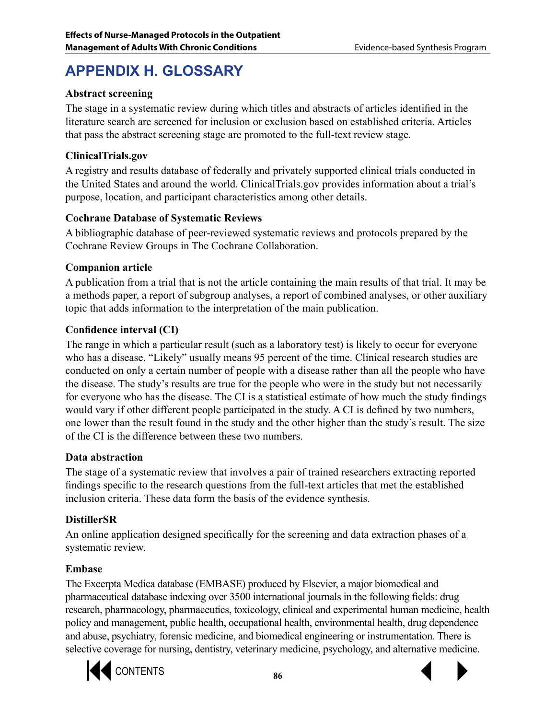# **APPENDIX H. GLOSSARY**

## **Abstract screening**

The stage in a systematic review during which titles and abstracts of articles identified in the literature search are screened for inclusion or exclusion based on established criteria. Articles that pass the abstract screening stage are promoted to the full-text review stage.

## **ClinicalTrials.gov**

A registry and results database of federally and privately supported clinical trials conducted in the United States and around the world. ClinicalTrials.gov provides information about a trial's purpose, location, and participant characteristics among other details.

## **Cochrane Database of Systematic Reviews**

A bibliographic database of peer-reviewed systematic reviews and protocols prepared by the Cochrane Review Groups in The Cochrane Collaboration.

## **Companion article**

A publication from a trial that is not the article containing the main results of that trial. It may be a methods paper, a report of subgroup analyses, a report of combined analyses, or other auxiliary topic that adds information to the interpretation of the main publication.

# **Confidence interval (CI)**

The range in which a particular result (such as a laboratory test) is likely to occur for everyone who has a disease. "Likely" usually means 95 percent of the time. Clinical research studies are conducted on only a certain number of people with a disease rather than all the people who have the disease. The study's results are true for the people who were in the study but not necessarily for everyone who has the disease. The CI is a statistical estimate of how much the study findings would vary if other different people participated in the study. A CI is defined by two numbers, one lower than the result found in the study and the other higher than the study's result. The size of the CI is the difference between these two numbers.

## **Data abstraction**

The stage of a systematic review that involves a pair of trained researchers extracting reported findings specific to the research questions from the full-text articles that met the established inclusion criteria. These data form the basis of the evidence synthesis.

# **DistillerSR**

An online application designed specifically for the screening and data extraction phases of a systematic review.

# **Embase**

The Excerpta Medica database (EMBASE) produced by Elsevier, a major biomedical and pharmaceutical database indexing over 3500 international journals in the following fields: drug research, pharmacology, pharmaceutics, toxicology, clinical and experimental human medicine, health policy and management, public health, occupational health, environmental health, drug dependence and abuse, psychiatry, forensic medicine, and biomedical engineering or instrumentation. There is selective coverage for nursing, dentistry, veterinary medicine, psychology, and alternative medicine.



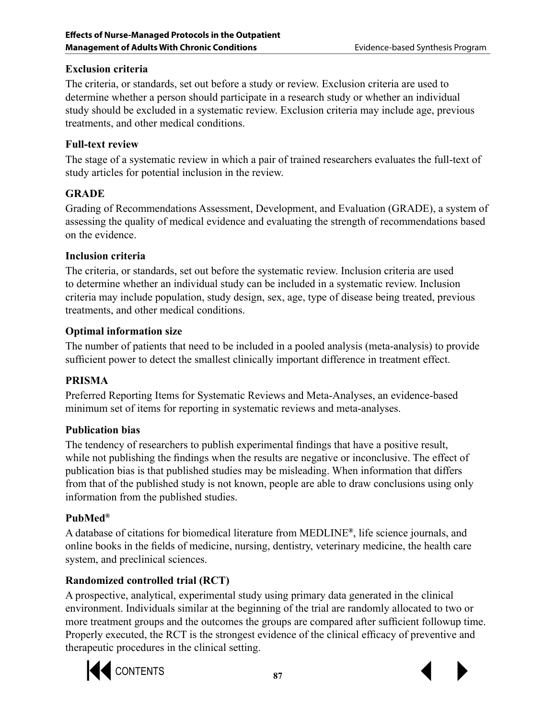# **Exclusion criteria**

The criteria, or standards, set out before a study or review. Exclusion criteria are used to determine whether a person should participate in a research study or whether an individual study should be excluded in a systematic review. Exclusion criteria may include age, previous treatments, and other medical conditions.

## **Full-text review**

The stage of a systematic review in which a pair of trained researchers evaluates the full-text of study articles for potential inclusion in the review.

# **GRADE**

Grading of Recommendations Assessment, Development, and Evaluation (GRADE), a system of assessing the quality of medical evidence and evaluating the strength of recommendations based on the evidence.

## **Inclusion criteria**

The criteria, or standards, set out before the systematic review. Inclusion criteria are used to determine whether an individual study can be included in a systematic review. Inclusion criteria may include population, study design, sex, age, type of disease being treated, previous treatments, and other medical conditions.

## **Optimal information size**

The number of patients that need to be included in a pooled analysis (meta-analysis) to provide sufficient power to detect the smallest clinically important difference in treatment effect.

## **PRISMA**

Preferred Reporting Items for Systematic Reviews and Meta-Analyses, an evidence-based minimum set of items for reporting in systematic reviews and meta-analyses.

## **Publication bias**

The tendency of researchers to publish experimental findings that have a positive result, while not publishing the findings when the results are negative or inconclusive. The effect of publication bias is that published studies may be misleading. When information that differs from that of the published study is not known, people are able to draw conclusions using only information from the published studies.

## **PubMed®**

A database of citations for biomedical literature from MEDLINE**®**, life science journals, and online books in the fields of medicine, nursing, dentistry, veterinary medicine, the health care system, and preclinical sciences.

# **Randomized controlled trial (RCT)**

A prospective, analytical, experimental study using primary data generated in the clinical environment. Individuals similar at the beginning of the trial are randomly allocated to two or more treatment groups and the outcomes the groups are compared after sufficient followup time. Properly executed, the RCT is the strongest evidence of the clinical efficacy of preventive and therapeutic procedures in the clinical setting.